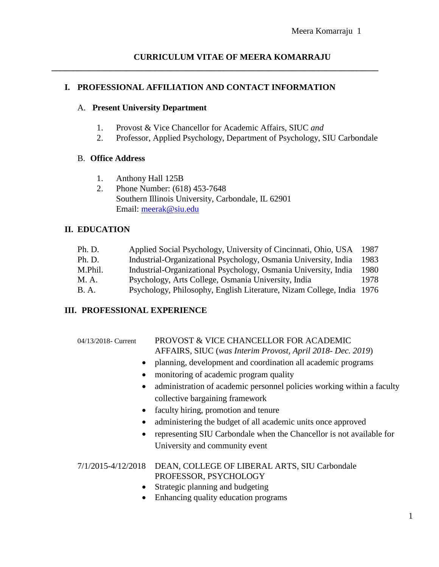# **I. PROFESSIONAL AFFILIATION AND CONTACT INFORMATION**

## A. **Present University Department**

1. Provost & Vice Chancellor for Academic Affairs, SIUC *and*

**\_\_\_\_\_\_\_\_\_\_\_\_\_\_\_\_\_\_\_\_\_\_\_\_\_\_\_\_\_\_\_\_\_\_\_\_\_\_\_\_\_\_\_\_\_\_\_\_\_\_\_\_\_\_\_\_\_\_\_\_\_\_\_\_\_\_\_\_\_\_\_\_\_\_\_\_**

2. Professor, Applied Psychology, Department of Psychology, SIU Carbondale

# B. **Office Address**

- 1. Anthony Hall 125B
- 2. Phone Number: (618) 453-7648 Southern Illinois University, Carbondale, IL 62901 Email: [meerak@siu.edu](mailto:meerak@siu.edu)

# **II. EDUCATION**

| Ph. D.      | Applied Social Psychology, University of Cincinnati, Ohio, USA        | 1987 |
|-------------|-----------------------------------------------------------------------|------|
| Ph. D.      | Industrial-Organizational Psychology, Osmania University, India       | 1983 |
| M.Phil.     | Industrial-Organizational Psychology, Osmania University, India       | 1980 |
| M. A.       | Psychology, Arts College, Osmania University, India                   | 1978 |
| <b>B.A.</b> | Psychology, Philosophy, English Literature, Nizam College, India 1976 |      |

# **III. PROFESSIONAL EXPERIENCE**

## 04/13/2018- Current PROVOST & VICE CHANCELLOR FOR ACADEMIC AFFAIRS, SIUC (*was Interim Provost, April 2018- Dec. 2019*)

- planning, development and coordination all academic programs
- monitoring of academic program quality
- administration of academic personnel policies working within a faculty collective bargaining framework
- faculty hiring, promotion and tenure
- administering the budget of all academic units once approved
- representing SIU Carbondale when the Chancellor is not available for University and community event

## 7/1/2015-4/12/2018 DEAN, COLLEGE OF LIBERAL ARTS, SIU Carbondale PROFESSOR, PSYCHOLOGY

- Strategic planning and budgeting
- Enhancing quality education programs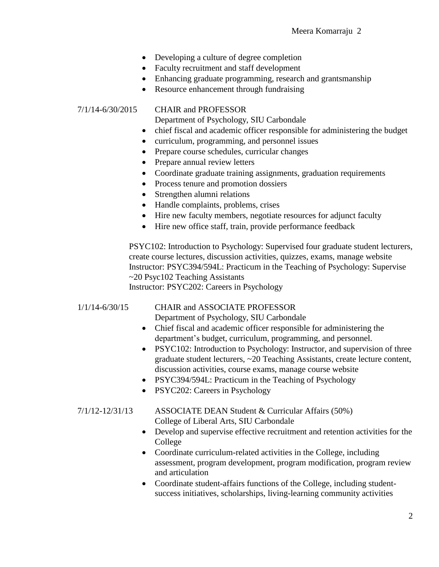- Developing a culture of degree completion
- Faculty recruitment and staff development
- Enhancing graduate programming, research and grantsmanship
- Resource enhancement through fundraising

#### 7/1/14-6/30/2015 CHAIR and PROFESSOR

Department of Psychology, SIU Carbondale

- chief fiscal and academic officer responsible for administering the budget
- curriculum, programming, and personnel issues
- Prepare course schedules, curricular changes
- Prepare annual review letters
- Coordinate graduate training assignments, graduation requirements
- Process tenure and promotion dossiers
- Strengthen alumni relations
- Handle complaints, problems, crises
- Hire new faculty members, negotiate resources for adjunct faculty
- Hire new office staff, train, provide performance feedback

PSYC102: Introduction to Psychology: Supervised four graduate student lecturers, create course lectures, discussion activities, quizzes, exams, manage website Instructor: PSYC394/594L: Practicum in the Teaching of Psychology: Supervise ~20 Psyc102 Teaching Assistants Instructor: PSYC202: Careers in Psychology

1/1/14-6/30/15 CHAIR and ASSOCIATE PROFESSOR

Department of Psychology, SIU Carbondale

- Chief fiscal and academic officer responsible for administering the department's budget, curriculum, programming, and personnel.
- PSYC102: Introduction to Psychology: Instructor, and supervision of three graduate student lecturers, ~20 Teaching Assistants, create lecture content, discussion activities, course exams, manage course website
- PSYC394/594L: Practicum in the Teaching of Psychology
- PSYC202: Careers in Psychology

7/1/12-12/31/13 ASSOCIATE DEAN Student & Curricular Affairs (50%) College of Liberal Arts, SIU Carbondale

- Develop and supervise effective recruitment and retention activities for the College
- Coordinate curriculum-related activities in the College, including assessment, program development, program modification, program review and articulation
- Coordinate student-affairs functions of the College, including studentsuccess initiatives, scholarships, living-learning community activities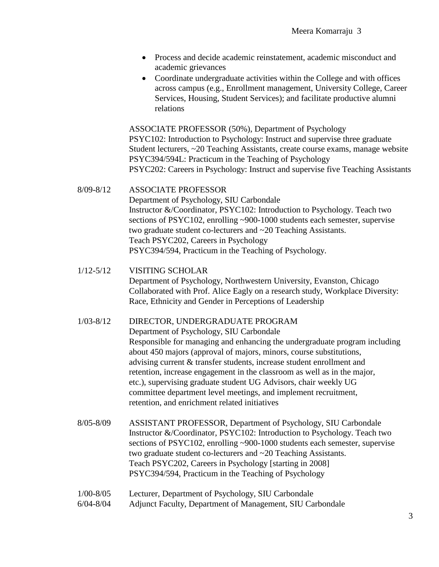- Process and decide academic reinstatement, academic misconduct and academic grievances
- Coordinate undergraduate activities within the College and with offices across campus (e.g., Enrollment management, University College, Career Services, Housing, Student Services); and facilitate productive alumni relations

ASSOCIATE PROFESSOR (50%), Department of Psychology PSYC102: Introduction to Psychology: Instruct and supervise three graduate Student lecturers, ~20 Teaching Assistants, create course exams, manage website PSYC394/594L: Practicum in the Teaching of Psychology PSYC202: Careers in Psychology: Instruct and supervise five Teaching Assistants

8/09-8/12 ASSOCIATE PROFESSOR Department of Psychology, SIU Carbondale Instructor &/Coordinator, PSYC102: Introduction to Psychology. Teach two sections of PSYC102, enrolling ~900-1000 students each semester, supervise two graduate student co-lecturers and ~20 Teaching Assistants. Teach PSYC202, Careers in Psychology PSYC394/594, Practicum in the Teaching of Psychology.

- 1/12-5/12 VISITING SCHOLAR Department of Psychology, Northwestern University, Evanston, Chicago Collaborated with Prof. Alice Eagly on a research study, Workplace Diversity: Race, Ethnicity and Gender in Perceptions of Leadership
- 1/03-8/12 DIRECTOR, UNDERGRADUATE PROGRAM

Department of Psychology, SIU Carbondale Responsible for managing and enhancing the undergraduate program including about 450 majors (approval of majors, minors, course substitutions, advising current & transfer students, increase student enrollment and retention, increase engagement in the classroom as well as in the major, etc.), supervising graduate student UG Advisors, chair weekly UG committee department level meetings, and implement recruitment, retention, and enrichment related initiatives

- 8/05-8/09 ASSISTANT PROFESSOR, Department of Psychology, SIU Carbondale Instructor &/Coordinator, PSYC102: Introduction to Psychology. Teach two sections of PSYC102, enrolling ~900-1000 students each semester, supervise two graduate student co-lecturers and ~20 Teaching Assistants. Teach PSYC202, Careers in Psychology [starting in 2008] PSYC394/594, Practicum in the Teaching of Psychology
- 1/00-8/05 Lecturer, Department of Psychology, SIU Carbondale
- 6/04-8/04 Adjunct Faculty, Department of Management, SIU Carbondale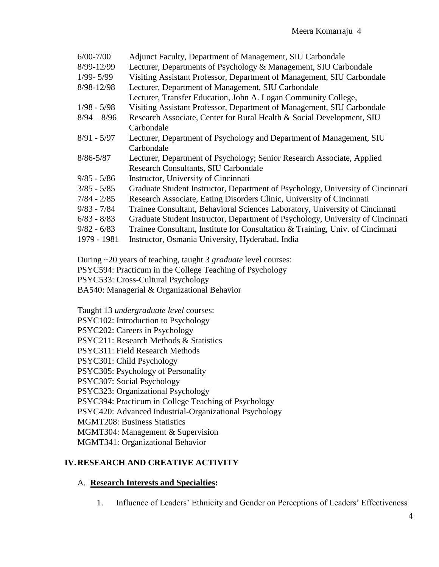| $6/00 - 7/00$ | Adjunct Faculty, Department of Management, SIU Carbondale                       |
|---------------|---------------------------------------------------------------------------------|
| 8/99-12/99    | Lecturer, Departments of Psychology & Management, SIU Carbondale                |
| $1/99 - 5/99$ | Visiting Assistant Professor, Department of Management, SIU Carbondale          |
| 8/98-12/98    | Lecturer, Department of Management, SIU Carbondale                              |
|               | Lecturer, Transfer Education, John A. Logan Community College,                  |
| $1/98 - 5/98$ | Visiting Assistant Professor, Department of Management, SIU Carbondale          |
| $8/94 - 8/96$ | Research Associate, Center for Rural Health & Social Development, SIU           |
|               | Carbondale                                                                      |
| $8/91 - 5/97$ | Lecturer, Department of Psychology and Department of Management, SIU            |
|               | Carbondale                                                                      |
| $8/86 - 5/87$ | Lecturer, Department of Psychology; Senior Research Associate, Applied          |
|               | Research Consultants, SIU Carbondale                                            |
| $9/85 - 5/86$ | Instructor, University of Cincinnati                                            |
| $3/85 - 5/85$ | Graduate Student Instructor, Department of Psychology, University of Cincinnati |
| $7/84 - 2/85$ | Research Associate, Eating Disorders Clinic, University of Cincinnati           |
| $9/83 - 7/84$ | Trainee Consultant, Behavioral Sciences Laboratory, University of Cincinnati    |
| $6/83 - 8/83$ | Graduate Student Instructor, Department of Psychology, University of Cincinnati |
| $9/82 - 6/83$ | Trainee Consultant, Institute for Consultation & Training, Univ. of Cincinnati  |
| 1979 - 1981   | Instructor, Osmania University, Hyderabad, India                                |
|               |                                                                                 |

During ~20 years of teaching, taught 3 *graduate* level courses:

PSYC594: Practicum in the College Teaching of Psychology

PSYC533: Cross-Cultural Psychology

BA540: Managerial & Organizational Behavior

Taught 13 *undergraduate level* courses:

PSYC102: Introduction to Psychology

PSYC202: Careers in Psychology

PSYC211: Research Methods & Statistics

PSYC311: Field Research Methods

PSYC301: Child Psychology

PSYC305: Psychology of Personality

PSYC307: Social Psychology

PSYC323: Organizational Psychology

PSYC394: Practicum in College Teaching of Psychology

PSYC420: Advanced Industrial-Organizational Psychology

MGMT208: Business Statistics

MGMT304: Management & Supervision

MGMT341: Organizational Behavior

## **IV.RESEARCH AND CREATIVE ACTIVITY**

#### A. **Research Interests and Specialties:**

1. Influence of Leaders' Ethnicity and Gender on Perceptions of Leaders' Effectiveness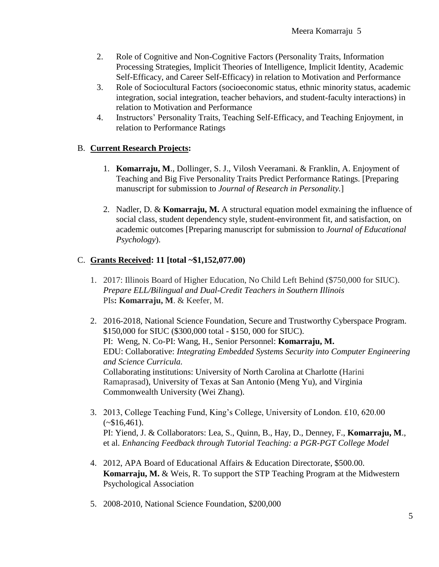- 2. Role of Cognitive and Non-Cognitive Factors (Personality Traits, Information Processing Strategies, Implicit Theories of Intelligence, Implicit Identity, Academic Self-Efficacy, and Career Self-Efficacy) in relation to Motivation and Performance
- 3. Role of Sociocultural Factors (socioeconomic status, ethnic minority status, academic integration, social integration, teacher behaviors, and student-faculty interactions) in relation to Motivation and Performance
- 4. Instructors' Personality Traits, Teaching Self-Efficacy, and Teaching Enjoyment, in relation to Performance Ratings

## B. **Current Research Projects:**

- 1. **Komarraju, M**., Dollinger, S. J., Vilosh Veeramani. & Franklin, A. Enjoyment of Teaching and Big Five Personality Traits Predict Performance Ratings. [Preparing manuscript for submission to *Journal of Research in Personality.*]
- 2. Nadler, D. & **Komarraju, M.** A structural equation model exmaining the influence of social class, student dependency style, student-environment fit, and satisfaction, on academic outcomes [Preparing manuscript for submission to *Journal of Educational Psychology*).

# C. **Grants Received: 11 [total ~\$1,152,077.00)**

- 1. 2017: Illinois Board of Higher Education, No Child Left Behind (\$750,000 for SIUC). *Prepare ELL/Bilingual and Dual-Credit Teachers in Southern Illinois* PIs**: Komarraju, M**. & Keefer, M.
- 2. 2016-2018, National Science Foundation, Secure and Trustworthy Cyberspace Program. \$150,000 for SIUC (\$300,000 total - \$150, 000 for SIUC). PI: Weng, N. Co-PI: Wang, H., Senior Personnel: **Komarraju, M.** EDU: Collaborative: *Integrating Embedded Systems Security into Computer Engineering and Science Curricula.*  Collaborating institutions: University of North Carolina at Charlotte (Harini Ramaprasad), University of Texas at San Antonio (Meng Yu), and Virginia Commonwealth University (Wei Zhang).
- 3. 2013, College Teaching Fund, King's College, University of London. £10, 620.00  $(*\$16,461).$ PI: Yiend, J. & Collaborators: Lea, S., Quinn, B., Hay, D., Denney, F., **Komarraju, M**., et al. *Enhancing Feedback through Tutorial Teaching: a PGR-PGT College Model*
- 4. 2012, APA Board of Educational Affairs & Education Directorate, \$500.00. **Komarraju, M.** & Weis, R. To support the STP Teaching Program at the Midwestern Psychological Association
- 5. 2008-2010, National Science Foundation, \$200,000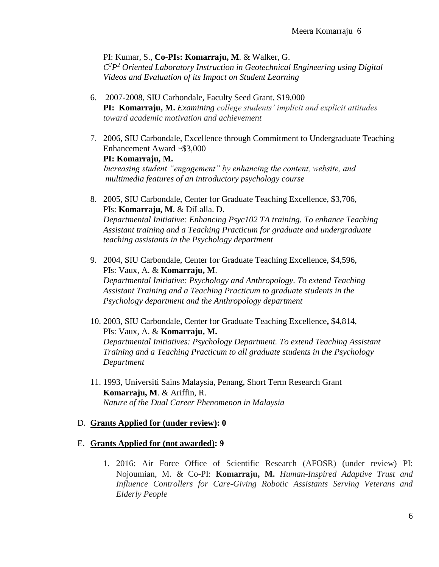PI: Kumar, S., **Co-PIs: Komarraju, M**. & Walker, G. *C 2P <sup>2</sup> Oriented Laboratory Instruction in Geotechnical Engineering using Digital Videos and Evaluation of its Impact on Student Learning*

- 6. 2007-2008, SIU Carbondale, Faculty Seed Grant, \$19,000 **PI: Komarraju, M.** *Examining college students' implicit and explicit attitudes toward academic motivation and achievement*
- 7. 2006, SIU Carbondale, Excellence through Commitment to Undergraduate Teaching Enhancement Award ~\$3,000 **PI: Komarraju, M.**  *Increasing student "engagement" by enhancing the content, website, and multimedia features of an introductory psychology course*
- 8. 2005, SIU Carbondale, Center for Graduate Teaching Excellence, \$3,706, PIs: **Komarraju, M**. & DiLalla. D. *Departmental Initiative: Enhancing Psyc102 TA training. To enhance Teaching Assistant training and a Teaching Practicum for graduate and undergraduate teaching assistants in the Psychology department*
- 9. 2004, SIU Carbondale, Center for Graduate Teaching Excellence, \$4,596, PIs: Vaux, A. & **Komarraju, M**. *Departmental Initiative: Psychology and Anthropology. To extend Teaching Assistant Training and a Teaching Practicum to graduate students in the Psychology department and the Anthropology department*
- 10. 2003, SIU Carbondale, Center for Graduate Teaching Excellence**,** \$4,814, PIs: Vaux, A. & **Komarraju, M.** *Departmental Initiatives: Psychology Department. To extend Teaching Assistant Training and a Teaching Practicum to all graduate students in the Psychology Department*
- 11. 1993, Universiti Sains Malaysia, Penang, Short Term Research Grant **Komarraju, M**. & Ariffin, R. *Nature of the Dual Career Phenomenon in Malaysia*

#### D. **Grants Applied for (under review): 0**

#### E. **Grants Applied for (not awarded): 9**

1. 2016: Air Force Office of Scientific Research (AFOSR) (under review) PI: Nojoumian, M. & Co-PI: **Komarraju, M.** *Human-Inspired Adaptive Trust and Influence Controllers for Care-Giving Robotic Assistants Serving Veterans and Elderly People*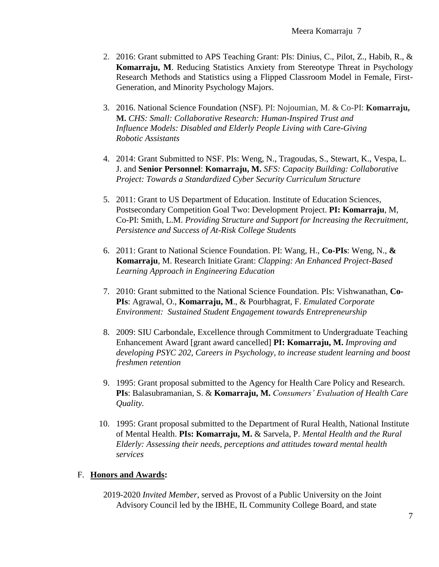- 2. 2016: Grant submitted to APS Teaching Grant: PIs: Dinius, C., Pilot, Z., Habib, R., & **Komarraju, M**. Reducing Statistics Anxiety from Stereotype Threat in Psychology Research Methods and Statistics using a Flipped Classroom Model in Female, First-Generation, and Minority Psychology Majors.
- 3. 2016. National Science Foundation (NSF). PI: Nojoumian, M. & Co-PI: **Komarraju, M.** *CHS: Small: Collaborative Research: Human-Inspired Trust and Influence Models: Disabled and Elderly People Living with Care-Giving Robotic Assistants*
- 4. 2014: Grant Submitted to NSF. PIs: Weng, N., Tragoudas, S., Stewart, K., Vespa, L. J. and **Senior Personnel**: **Komarraju, M.** *SFS: Capacity Building: Collaborative Project: Towards a Standardized Cyber Security Curriculum Structure*
- 5. 2011: Grant to US Department of Education. Institute of Education Sciences, Postsecondary Competition Goal Two: Development Project. **PI: Komarraju**, M, Co-PI: Smith, L.M. *Providing Structure and Support for Increasing the Recruitment, Persistence and Success of At-Risk College Students*
- 6. 2011: Grant to National Science Foundation. PI: Wang, H., **Co-PIs**: Weng, N., **& Komarraju**, M. Research Initiate Grant: *Clapping: An Enhanced Project-Based Learning Approach in Engineering Education*
- 7. 2010: Grant submitted to the National Science Foundation. PIs: Vishwanathan, **Co-PIs**: Agrawal, O., **Komarraju, M**., & Pourbhagrat, F. *Emulated Corporate Environment: Sustained Student Engagement towards Entrepreneurship*
- 8. 2009: SIU Carbondale, Excellence through Commitment to Undergraduate Teaching Enhancement Award [grant award cancelled] **PI: Komarraju, M.** *Improving and developing PSYC 202, Careers in Psychology, to increase student learning and boost freshmen retention*
- 9. 1995: Grant proposal submitted to the Agency for Health Care Policy and Research. **PIs**: Balasubramanian, S. & **Komarraju, M.** *Consumers' Evaluation of Health Care Quality.*
- 10. 1995: Grant proposal submitted to the Department of Rural Health, National Institute of Mental Health. **PIs: Komarraju, M.** & Sarvela, P. *Mental Health and the Rural Elderly: Assessing their needs, perceptions and attitudes toward mental health services*

#### F. **Honors and Awards:**

2019-2020 *Invited Member*, served as Provost of a Public University on the Joint Advisory Council led by the IBHE, IL Community College Board, and state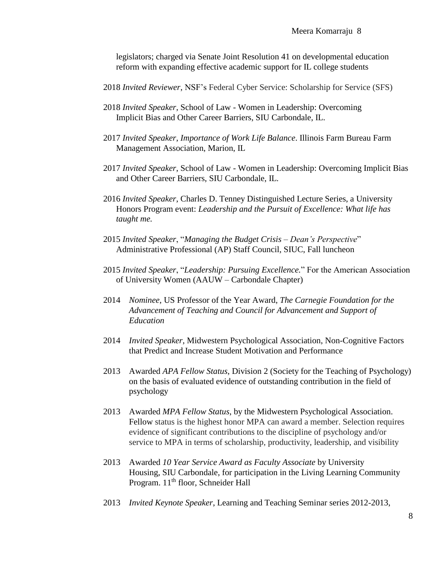legislators; charged via Senate Joint Resolution 41 on developmental education reform with expanding effective academic support for IL college students

- 2018 *Invited Reviewer*, NSF's Federal Cyber Service: Scholarship for Service (SFS)
- 2018 *Invited Speaker*, School of Law Women in Leadership: Overcoming Implicit Bias and Other Career Barriers, SIU Carbondale, IL.
- 2017 *Invited Speaker*, *Importance of Work Life Balance*. Illinois Farm Bureau Farm Management Association, Marion, IL
- 2017 *Invited Speaker*, School of Law Women in Leadership: Overcoming Implicit Bias and Other Career Barriers, SIU Carbondale, IL.
- 2016 *Invited Speaker*, Charles D. Tenney Distinguished Lecture Series, a University Honors Program event: *Leadership and the Pursuit of Excellence: What life has taught me.*
- 2015 *Invited Speaker*, "*Managing the Budget Crisis – Dean's Perspective*" Administrative Professional (AP) Staff Council, SIUC, Fall luncheon
- 2015 *Invited Speaker*, "*Leadership: Pursuing Excellence.*" For the American Association of University Women (AAUW – Carbondale Chapter)
- 2014 *Nominee*, US Professor of the Year Award, *The Carnegie Foundation for the Advancement of Teaching and Council for Advancement and Support of Education*
- 2014 *Invited Speaker*, Midwestern Psychological Association, Non-Cognitive Factors that Predict and Increase Student Motivation and Performance
- 2013 Awarded *APA Fellow Status*, Division 2 (Society for the Teaching of Psychology) on the basis of evaluated evidence of outstanding contribution in the field of psychology
- 2013 Awarded *MPA Fellow Status*, by the Midwestern Psychological Association. Fellow status is the highest honor MPA can award a member. Selection requires evidence of significant contributions to the discipline of psychology and/or service to MPA in terms of scholarship, productivity, leadership, and visibility
- 2013 Awarded *10 Year Service Award as Faculty Associate* by University Housing, SIU Carbondale, for participation in the Living Learning Community Program. 11<sup>th</sup> floor, Schneider Hall
- 2013 *Invited Keynote Speaker*, Learning and Teaching Seminar series 2012-2013,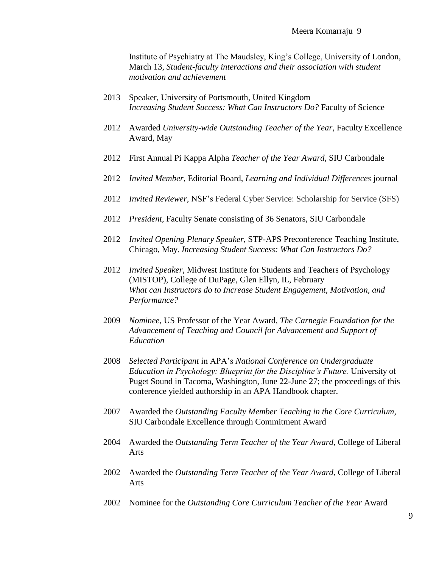Institute of Psychiatry at The Maudsley, King's College, University of London, March 13, *Student-faculty interactions and their association with student motivation and achievement*

- 2013 Speaker, University of Portsmouth, United Kingdom *Increasing Student Success: What Can Instructors Do?* Faculty of Science
- 2012 Awarded *University-wide Outstanding Teacher of the Year*, Faculty Excellence Award, May
- 2012 First Annual Pi Kappa Alpha *Teacher of the Year Award*, SIU Carbondale
- 2012 *Invited Member*, Editorial Board, *Learning and Individual Differences* journal
- 2012 *Invited Reviewer*, NSF's Federal Cyber Service: Scholarship for Service (SFS)
- 2012 *President*, Faculty Senate consisting of 36 Senators, SIU Carbondale
- 2012 *Invited Opening Plenary Speaker*, STP-APS Preconference Teaching Institute, Chicago, May. *Increasing Student Success: What Can Instructors Do?*
- 2012 *Invited Speaker*, Midwest Institute for Students and Teachers of Psychology (MISTOP), College of DuPage, Glen Ellyn, IL, February *What can Instructors do to Increase Student Engagement, Motivation, and Performance?*
- 2009 *Nominee*, US Professor of the Year Award, *The Carnegie Foundation for the Advancement of Teaching and Council for Advancement and Support of Education*
- 2008 *Selected Participant* in APA's *National Conference on Undergraduate Education in Psychology: Blueprint for the Discipline's Future.* University of Puget Sound in Tacoma, Washington, June 22-June 27; the proceedings of this conference yielded authorship in an APA Handbook chapter.
- 2007 Awarded the *Outstanding Faculty Member Teaching in the Core Curriculum,* SIU Carbondale Excellence through Commitment Award
- 2004 Awarded the *Outstanding Term Teacher of the Year Award*, College of Liberal Arts
- 2002 Awarded the *Outstanding Term Teacher of the Year Award*, College of Liberal Arts
- 2002 Nominee for the *Outstanding Core Curriculum Teacher of the Year* Award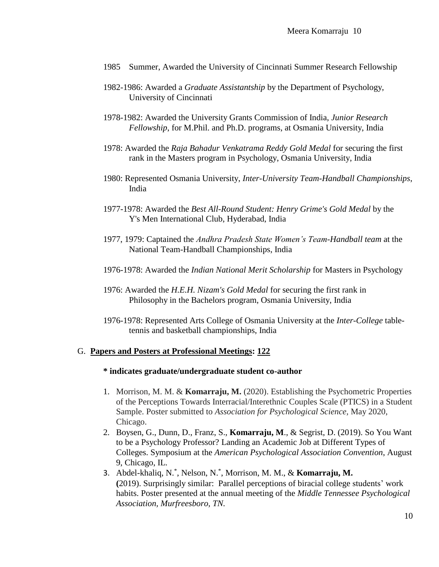- 1985 Summer, Awarded the University of Cincinnati Summer Research Fellowship
- 1982-1986: Awarded a *Graduate Assistantship* by the Department of Psychology, University of Cincinnati
- 1978-1982: Awarded the University Grants Commission of India, *Junior Research Fellowship*, for M.Phil. and Ph.D. programs, at Osmania University, India
- 1978: Awarded the *Raja Bahadur Venkatrama Reddy Gold Medal* for securing the first rank in the Masters program in Psychology, Osmania University, India
- 1980: Represented Osmania University, *Inter-University Team-Handball Championships*, India
- 1977-1978: Awarded the *Best All-Round Student: Henry Grime's Gold Medal* by the Y's Men International Club, Hyderabad, India
- 1977, 1979: Captained the *Andhra Pradesh State Women's Team-Handball team* at the National Team-Handball Championships, India
- 1976-1978: Awarded the *Indian National Merit Scholarship* for Masters in Psychology
- 1976: Awarded the *H.E.H. Nizam's Gold Medal* for securing the first rank in Philosophy in the Bachelors program, Osmania University, India
- 1976-1978: Represented Arts College of Osmania University at the *Inter-College* tabletennis and basketball championships, India

#### G. **Papers and Posters at Professional Meetings: 122**

#### **\* indicates graduate/undergraduate student co-author**

- 1. Morrison, M. M. & **Komarraju, M.** (2020). Establishing the Psychometric Properties of the Perceptions Towards Interracial/Interethnic Couples Scale (PTICS) in a Student Sample. Poster submitted to *Association for Psychological Science,* May 2020, Chicago.
- 2. Boysen, G., Dunn, D., Franz, S., **Komarraju, M**., & Segrist, D. (2019). So You Want to be a Psychology Professor? Landing an Academic Job at Different Types of Colleges. Symposium at the *American Psychological Association Convention*, August 9, Chicago, IL.
- 3. Abdel-khaliq, N.\* , Nelson, N.\* , Morrison, M. M., & **Komarraju, M. (**2019). Surprisingly similar: Parallel perceptions of biracial college students' work habits. Poster presented at the annual meeting of the *Middle Tennessee Psychological Association, Murfreesboro, TN.*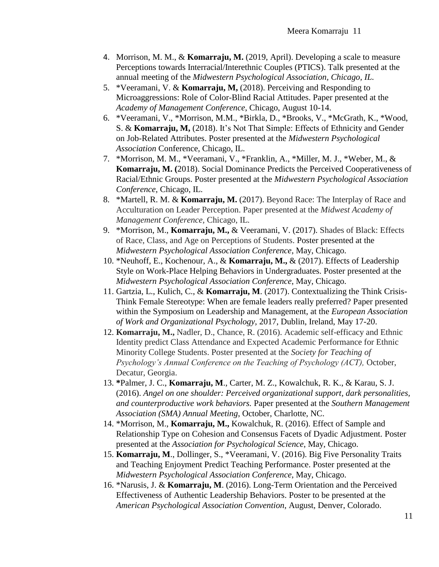- 4. Morrison, M. M., & **Komarraju, M.** (2019, April). Developing a scale to measure Perceptions towards Interracial/Interethnic Couples (PTICS). Talk presented at the annual meeting of the *Midwestern Psychological Association, Chicago, IL.*
- 5. \*Veeramani, V. & **Komarraju, M,** (2018). Perceiving and Responding to Microaggressions: Role of Color-Blind Racial Attitudes. Paper presented at the *Academy of Management Conference*, Chicago, August 10-14.
- 6. \*Veeramani, V., \*Morrison, M.M., \*Birkla, D., \*Brooks, V., \*McGrath, K., \*Wood, S. & **Komarraju, M,** (2018). It's Not That Simple: Effects of Ethnicity and Gender on Job-Related Attributes. Poster presented at the *Midwestern Psychological Association* Conference, Chicago, IL.
- 7. \*Morrison, M. M., \*Veeramani, V., \*Franklin, A., \*Miller, M. J., \*Weber, M., & **Komarraju, M. (**2018). Social Dominance Predicts the Perceived Cooperativeness of Racial/Ethnic Groups. Poster presented at the *Midwestern Psychological Association Conference*, Chicago, IL.
- 8. \*Martell, R. M. & **Komarraju, M.** (2017). Beyond Race: The Interplay of Race and Acculturation on Leader Perception. Paper presented at the *Midwest Academy of Management Conference,* Chicago, IL.
- 9. \*Morrison, M., **Komarraju, M.,** & Veeramani, V. (2017). Shades of Black: Effects of Race, Class, and Age on Perceptions of Students. Poster presented at the *Midwestern Psychological Association Conference*, May, Chicago.
- 10. \*Neuhoff, E., Kochenour, A., & **Komarraju, M.,** & (2017). Effects of Leadership Style on Work-Place Helping Behaviors in Undergraduates. Poster presented at the *Midwestern Psychological Association Conference*, May, Chicago.
- 11. Gartzia, L., Kulich, C., & **Komarraju, M**. (2017). Contextualizing the Think Crisis-Think Female Stereotype: When are female leaders really preferred? Paper presented within the Symposium on Leadership and Management, at the *European Association of Work and Organizational Psychology,* 2017, Dublin, Ireland, May 17-20.
- 12. **Komarraju, M.,** Nadler, D., Chance, R. (2016). Academic self-efficacy and Ethnic Identity predict Class Attendance and Expected Academic Performance for Ethnic Minority College Students. Poster presented at the *Society for Teaching of Psychology's Annual Conference on the Teaching of Psychology (ACT),* October, Decatur, Georgia.
- 13. **\***Palmer, J. C., **Komarraju, M**., Carter, M. Z., Kowalchuk, R. K., & Karau, S. J. (2016). *Angel on one shoulder: Perceived organizational support, dark personalities, and counterproductive work behaviors.* Paper presented at the *Southern Management Association (SMA) Annual Meeting*, October, Charlotte, NC.
- 14. \*Morrison, M., **Komarraju, M.,** Kowalchuk, R. (2016). Effect of Sample and Relationship Type on Cohesion and Consensus Facets of Dyadic Adjustment. Poster presented at the *Association for Psychological Science*, May, Chicago.
- 15. **Komarraju, M**., Dollinger, S., \*Veeramani, V. (2016). Big Five Personality Traits and Teaching Enjoyment Predict Teaching Performance. Poster presented at the *Midwestern Psychological Association Conference*, May, Chicago.
- 16. \*Narusis, J. & **Komarraju, M**. (2016). Long-Term Orientation and the Perceived Effectiveness of Authentic Leadership Behaviors. Poster to be presented at the *American Psychological Association Convention*, August, Denver, Colorado.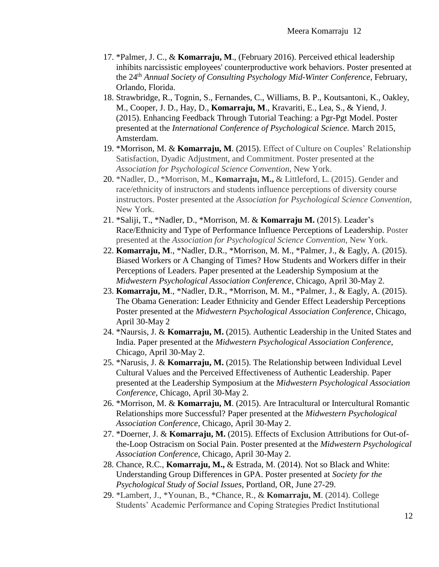- 17. \*Palmer, J. C., & **Komarraju, M**., (February 2016). Perceived ethical leadership inhibits narcissistic employees' counterproductive work behaviors. Poster presented at the 24th *Annual Society of Consulting Psychology Mid-Winter Conference*, February, Orlando, Florida.
- 18. Strawbridge, R., Tognin, S., Fernandes, C., Williams, B. P., Koutsantoni, K., Oakley, M., Cooper, J. D., Hay, D., **Komarraju, M**., Kravariti, E., Lea, S., & Yiend, J. (2015). [Enhancing Feedback Through Tutorial Teaching: a Pgr-Pgt Model.](http://www.psychologicalscience.org/convention/icps_program/search/viewProgram.cfm?Abstract_ID=33218&AbType=&AbAuthor=&Subject_ID=&Day_ID=all&keyword=komarraju) Poster presented at the *International Conference of Psychological Science.* March 2015, Amsterdam.
- 19. \*Morrison, M. & **Komarraju, M**. (2015). Effect of Culture on Couples' Relationship Satisfaction, Dyadic Adjustment, and Commitment. Poster presented at the *Association for Psychological Science Convention,* New York.
- 20. \*Nadler, D., \*Morrison, M., **Komarraju, M.,** & Littleford, L. (2015). Gender and race/ethnicity of instructors and students influence perceptions of diversity course instructors. Poster presented at the *Association for Psychological Science Convention*, New York.
- 21. \*Saliji, T., \*Nadler, D., \*Morrison, M. & **Komarraju M.** (2015). Leader's Race/Ethnicity and Type of Performance Influence Perceptions of Leadership. Poster presented at the *Association for Psychological Science Convention*, New York.
- 22. **Komarraju, M**., \*Nadler, D.R., \*Morrison, M. M., \*Palmer, J., & Eagly, A. (2015). Biased Workers or A Changing of Times? How Students and Workers differ in their Perceptions of Leaders. Paper presented at the Leadership Symposium at the *Midwestern Psychological Association Conference*, Chicago, April 30-May 2.
- 23. **Komarraju, M**., \*Nadler, D.R., \*Morrison, M. M., \*Palmer, J., & Eagly, A. (2015). The Obama Generation: Leader Ethnicity and Gender Effect Leadership Perceptions Poster presented at the *Midwestern Psychological Association Conference*, Chicago, April 30-May 2
- 24. \*Naursis, J. & **Komarraju, M.** (2015). Authentic Leadership in the United States and India. Paper presented at the *Midwestern Psychological Association Conference*, Chicago, April 30-May 2.
- 25. \*Narusis, J. & **Komarraju, M.** (2015). The Relationship between Individual Level Cultural Values and the Perceived Effectiveness of Authentic Leadership. Paper presented at the Leadership Symposium at the *Midwestern Psychological Association Conference*, Chicago, April 30-May 2.
- 26. \*Morrison, M. & **Komarraju, M**. (2015). Are Intracultural or Intercultural Romantic Relationships more Successful? Paper presented at the *Midwestern Psychological Association Conference*, Chicago, April 30-May 2.
- 27. \*Doerner, J. & **Komarraju, M.** (2015). Effects of Exclusion Attributions for Out-ofthe-Loop Ostracism on Social Pain. Poster presented at the *Midwestern Psychological Association Conference*, Chicago, April 30-May 2.
- 28. Chance, R.C., **Komarraju, M.,** & Estrada, M. (2014). Not so Black and White: Understanding Group Differences in GPA. Poster presented at *Society for the Psychological Study of Social Issues*, Portland, OR, June 27-29.
- 29. \*Lambert, J., \*Younan, B., \*Chance, R., & **Komarraju, M**. (2014). College Students' Academic Performance and Coping Strategies Predict Institutional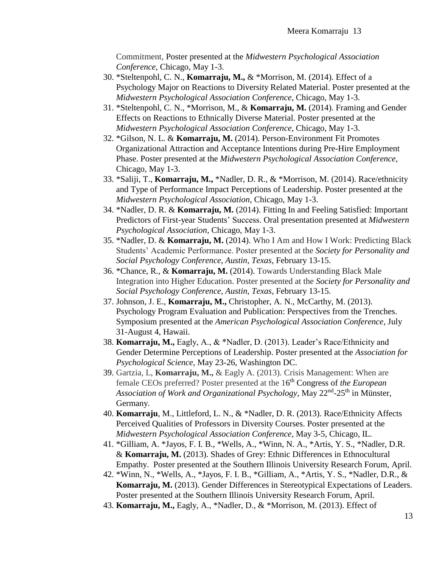Commitment, Poster presented at the *Midwestern Psychological Association Conference*, Chicago, May 1-3.

- 30. \*Steltenpohl, C. N., **Komarraju, M.,** & \*Morrison, M. (2014). Effect of a Psychology Major on Reactions to Diversity Related Material. Poster presented at the *Midwestern Psychological Association Conference*, Chicago, May 1-3.
- 31. \*Steltenpohl, C. N., \*Morrison, M., & **Komarraju, M.** (2014). Framing and Gender Effects on Reactions to Ethnically Diverse Material. Poster presented at the *Midwestern Psychological Association Conference*, Chicago, May 1-3.
- 32. \*Gilson, N. L. & **Komarraju, M.** (2014). Person-Environment Fit Promotes Organizational Attraction and Acceptance Intentions during Pre-Hire Employment Phase. Poster presented at the *Midwestern Psychological Association Conference*, Chicago, May 1-3.
- 33. \*Saliji, T., **Komarraju, M.,** \*Nadler, D. R., & \*Morrison, M. (2014). Race/ethnicity and Type of Performance Impact Perceptions of Leadership. Poster presented at the *Midwestern Psychological Association*, Chicago, May 1-3.
- 34. \*Nadler, D. R. & **Komarraju, M.** (2014). Fitting In and Feeling Satisfied: Important Predictors of First-year Students' Success. Oral presentation presented at *Midwestern Psychological Association*, Chicago, May 1-3.
- 35. \*Nadler, D. & **Komarraju, M.** (2014). Who I Am and How I Work: Predicting Black Students' Academic Performance. Poster presented at the *Society for Personality and Social Psychology Conference, Austin, Texas,* February 13-15.
- 36. \*Chance, R., & **Komarraju, M.** (2014). Towards Understanding Black Male Integration into Higher Education. Poster presented at the *Society for Personality and Social Psychology Conference, Austin, Texas,* February 13-15.
- 37. Johnson, J. E., **Komarraju, M.,** Christopher, A. N., McCarthy, M. (2013). Psychology Program Evaluation and Publication: Perspectives from the Trenches. Symposium presented at the *American Psychological Association Conference*, July 31-August 4, Hawaii.
- 38. **Komarraju, M.,** Eagly, A., & \*Nadler, D. (2013). Leader's Race/Ethnicity and Gender Determine Perceptions of Leadership. Poster presented at the *Association for Psychological Science,* May 23-26, Washington DC.
- 39. Gartzia, L, **Komarraju, M.,** & Eagly A. (2013). Crisis Management: When are female CEOs preferred? Poster presented at the 16<sup>th</sup> Congress of *the European* Association of Work and Organizational Psychology, May 22<sup>nd</sup>-25<sup>th</sup> in Münster, Germany.
- 40. **Komarraju**, M., Littleford, L. N., & \*Nadler, D. R. (2013). Race/Ethnicity Affects Perceived Qualities of Professors in Diversity Courses. Poster presented at the *Midwestern Psychological Association Conference*, May 3-5, Chicago, IL.
- 41. \*Gilliam, A. \*Jayos, F. I. B., \*Wells, A., \*Winn, N. A., \*Artis, Y. S., \*Nadler, D.R. & **Komarraju, M.** (2013). Shades of Grey: Ethnic Differences in Ethnocultural Empathy. Poster presented at the Southern Illinois University Research Forum, April.
- 42. \*Winn, N., \*Wells, A., \*Jayos, F. I. B., \*Gilliam, A., \*Artis, Y. S., \*Nadler, D.R., & **Komarraju, M.** (2013). Gender Differences in Stereotypical Expectations of Leaders. Poster presented at the Southern Illinois University Research Forum, April.
- 43. **Komarraju, M.,** Eagly, A., \*Nadler, D., & \*Morrison, M. (2013). Effect of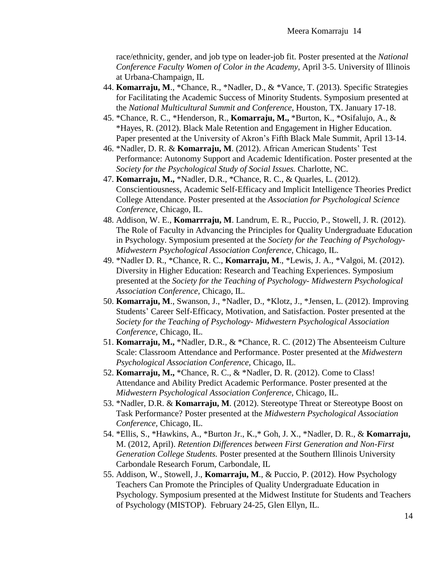race/ethnicity, gender, and job type on leader-job fit. Poster presented at the *National Conference Faculty Women of Color in the Academy*, April 3-5. University of Illinois at Urbana-Champaign, IL

- 44. **Komarraju, M**., \*Chance, R., \*Nadler, D., & \*Vance, T. (2013). Specific Strategies for Facilitating the Academic Success of Minority Students. Symposium presented at the *National Multicultural Summit and Conference,* Houston, TX. January 17-18.
- 45. \*Chance, R. C., \*Henderson, R., **Komarraju, M.,** \*Burton, K., \*Osifalujo, A., & \*Hayes, R. (2012). Black Male Retention and Engagement in Higher Education. Paper presented at the University of Akron's Fifth Black Male Summit, April 13-14.
- 46. \*Nadler, D. R. & **Komarraju, M**. (2012). African American Students' Test Performance: Autonomy Support and Academic Identification. Poster presented at the *Society for the Psychological Study of Social Issues.* Charlotte, NC.
- 47. **Komarraju, M.,** \*Nadler, D.R., \*Chance, R. C., & Quarles, L. (2012). Conscientiousness, Academic Self-Efficacy and Implicit Intelligence Theories Predict College Attendance. Poster presented at the *Association for Psychological Science Conference*, Chicago, IL.
- 48. Addison, W. E., **Komarrraju, M**. Landrum, E. R., Puccio, P., Stowell, J. R. (2012). The Role of Faculty in Advancing the Principles for Quality Undergraduate Education in Psychology. Symposium presented at the *Society for the Teaching of Psychology*-*Midwestern Psychological Association Conference,* Chicago, IL.
- 49. \*Nadler D. R., \*Chance, R. C., **Komarraju, M**., \*Lewis, J. A., \*Valgoi, M. (2012). Diversity in Higher Education: Research and Teaching Experiences. Symposium presented at the *Society for the Teaching of Psychology*- *Midwestern Psychological Association Conference,* Chicago, IL.
- 50. **Komarraju, M**., Swanson, J., \*Nadler, D., \*Klotz, J., \*Jensen, L. (2012). Improving Students' Career Self-Efficacy, Motivation, and Satisfaction. Poster presented at the *Society for the Teaching of Psychology*- *Midwestern Psychological Association Conference,* Chicago, IL.
- 51. **Komarraju, M.,** \*Nadler, D.R., & \*Chance, R. C. (2012) The Absenteeism Culture Scale: Classroom Attendance and Performance. Poster presented at the *Midwestern Psychological Association Conference,* Chicago, IL.
- 52. **Komarraju, M.,** \*Chance, R. C., & \*Nadler, D. R. (2012). Come to Class! Attendance and Ability Predict Academic Performance. Poster presented at the *Midwestern Psychological Association Conference,* Chicago, IL.
- 53. \*Nadler, D.R. & **Komarraju, M**. (2012). Stereotype Threat or Stereotype Boost on Task Performance? Poster presented at the *Midwestern Psychological Association Conference,* Chicago, IL.
- 54. \*Ellis, S., \*Hawkins, A., \*Burton Jr., K.,\* Goh, J. X., \*Nadler, D. R., & **Komarraju,** M. (2012, April). *Retention Differences between First Generation and Non-First Generation College Students.* Poster presented at the Southern Illinois University Carbondale Research Forum, Carbondale, IL
- 55. Addison, W., Stowell, J., **Komarraju, M**., & Puccio, P. (2012). How Psychology Teachers Can Promote the Principles of Quality Undergraduate Education in Psychology. Symposium presented at the Midwest Institute for Students and Teachers of Psychology (MISTOP). February 24-25, Glen Ellyn, IL.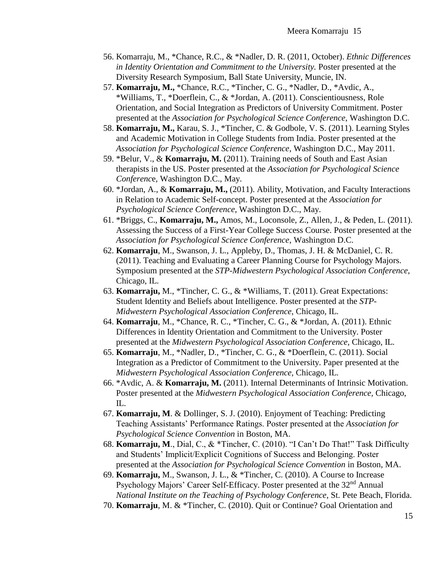- 56. Komarraju, M., \*Chance, R.C., & \*Nadler, D. R. (2011, October). *Ethnic Differences in Identity Orientation and Commitment to the University.* Poster presented at the Diversity Research Symposium, Ball State University, Muncie, IN.
- 57. **Komarraju, M.,** \*Chance, R.C., \*Tincher, C. G., \*Nadler, D., \*Avdic, A., \*Williams, T., \*Doerflein, C., & \*Jordan, A. (2011). Conscientiousness, Role Orientation, and Social Integration as Predictors of University Commitment. Poster presented at the *Association for Psychological Science Conference*, Washington D.C.
- 58. **Komarraju, M.,** Karau, S. J., \*Tincher, C. & Godbole, V. S. (2011). Learning Styles and Academic Motivation in College Students from India. Poster presented at the *Association for Psychological Science Conference*, Washington D.C., May 2011.
- 59. \*Belur, V., & **Komarraju, M.** (2011). Training needs of South and East Asian therapists in the US. Poster presented at the *Association for Psychological Science Conferenc*e, Washington D.C., May.
- 60. \*Jordan, A., & **Komarraju, M.,** (2011). Ability, Motivation, and Faculty Interactions in Relation to Academic Self-concept. Poster presented at the *Association for Psychological Science Conference*, Washington D.C., May.
- 61. \*Briggs, C., **Komarraju, M.,** Amos, M., Loconsole, Z., Allen, J., & Peden, L. (2011). Assessing the Success of a First-Year College Success Course. Poster presented at the *Association for Psychological Science Conference*, Washington D.C.
- 62. **Komarraju**, M., Swanson, J. L., Appleby, D., Thomas, J. H. & McDaniel, C. R. (2011). Teaching and Evaluating a Career Planning Course for Psychology Majors. Symposium presented at the *STP-Midwestern Psychological Association Conference,* Chicago, IL.
- 63. **Komarraju,** M., \*Tincher, C. G., & \*Williams, T. (2011). Great Expectations: Student Identity and Beliefs about Intelligence. Poster presented at the *STP-Midwestern Psychological Association Conference,* Chicago, IL.
- 64. **Komarraju**, M., \*Chance, R. C., \*Tincher, C. G., & \*Jordan, A. (2011). Ethnic Differences in Identity Orientation and Commitment to the University. Poster presented at the *Midwestern Psychological Association Conference,* Chicago, IL.
- 65. **Komarraju**, M., \*Nadler, D., \*Tincher, C. G., & \*Doerflein, C. (2011). Social Integration as a Predictor of Commitment to the University. Paper presented at the *Midwestern Psychological Association Conference,* Chicago, IL.
- 66. \*Avdic, A. & **Komarraju, M.** (2011). Internal Determinants of Intrinsic Motivation. Poster presented at the *Midwestern Psychological Association Conference,* Chicago, IL.
- 67. **Komarraju, M**. & Dollinger, S. J. (2010). Enjoyment of Teaching: Predicting Teaching Assistants' Performance Ratings. Poster presented at the *Association for Psychological Science Convention* in Boston, MA.
- 68. **Komarraju, M**., Dial, C., & \*Tincher, C. (2010). "I Can't Do That!" Task Difficulty and Students' Implicit/Explicit Cognitions of Success and Belonging. Poster presented at the *Association for Psychological Science Convention* in Boston, MA.
- 69. **Komarraju,** M., Swanson, J. L., & \*Tincher, C. (2010). A Course to Increase Psychology Majors' Career Self-Efficacy. Poster presented at the 32<sup>nd</sup> Annual *National Institute on the Teaching of Psychology Conference*, St. Pete Beach, Florida.
- 70. **Komarraju**, M. & \*Tincher, C. (2010). Quit or Continue? Goal Orientation and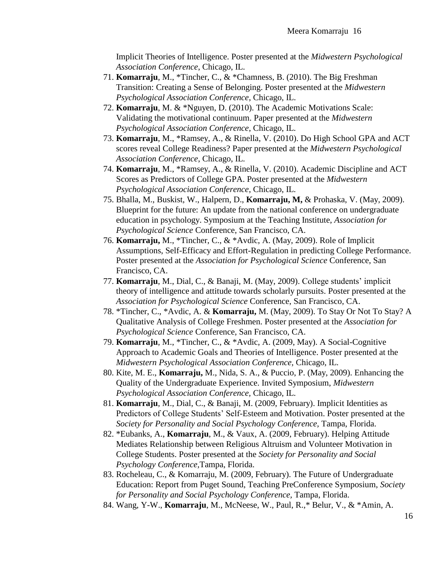Implicit Theories of Intelligence. Poster presented at the *Midwestern Psychological Association Conference*, Chicago, IL.

- 71. **Komarraju**, M., \*Tincher, C., & \*Chamness, B. (2010). The Big Freshman Transition: Creating a Sense of Belonging. Poster presented at the *Midwestern Psychological Association Conference*, Chicago, IL.
- 72. **Komarraju**, M. & \*Nguyen, D. (2010). The Academic Motivations Scale: Validating the motivational continuum. Paper presented at the *Midwestern Psychological Association Conference*, Chicago, IL.
- 73. **Komarraju**, M., \*Ramsey, A., & Rinella, V. (2010). Do High School GPA and ACT scores reveal College Readiness? Paper presented at the *Midwestern Psychological Association Conference*, Chicago, IL.
- 74. **Komarraju**, M., \*Ramsey, A., & Rinella, V. (2010). Academic Discipline and ACT Scores as Predictors of College GPA. Poster presented at the *Midwestern Psychological Association Conference*, Chicago, IL.
- 75. Bhalla, M., Buskist, W., Halpern, D., **Komarraju, M,** & Prohaska, V. (May, 2009). Blueprint for the future: An update from the national conference on undergraduate education in psychology. Symposium at the Teaching Institute, *Association for Psychological Science* Conference, San Francisco, CA.
- 76. **Komarraju,** M., \*Tincher, C., & \*Avdic, A. (May, 2009). Role of Implicit Assumptions, Self-Efficacy and Effort-Regulation in predicting College Performance. Poster presented at the *Association for Psychological Science* Conference, San Francisco, CA.
- 77. **Komarraju**, M., Dial, C., & Banaji, M. (May, 2009). College students' implicit theory of intelligence and attitude towards scholarly pursuits. Poster presented at the *Association for Psychological Science* Conference, San Francisco, CA.
- 78. \*Tincher, C., \*Avdic, A. & **Komarraju,** M. (May, 2009). To Stay Or Not To Stay? A Qualitative Analysis of College Freshmen. Poster presented at the *Association for Psychological Science* Conference, San Francisco, CA.
- 79. **Komarraju**, M., \*Tincher, C., & \*Avdic, A. (2009, May). A Social-Cognitive Approach to Academic Goals and Theories of Intelligence. Poster presented at the *Midwestern Psychological Association Conference,* Chicago, IL.
- 80. Kite, M. E., **Komarraju,** M., Nida, S. A., & Puccio, P. (May, 2009). Enhancing the Quality of the Undergraduate Experience. Invited Symposium, *Midwestern Psychological Association Conference,* Chicago, IL.
- 81. **Komarraju**, M., Dial, C., & Banaji, M. (2009, February). Implicit Identities as Predictors of College Students' Self-Esteem and Motivation. Poster presented at the *Society for Personality and Social Psychology Conference,* Tampa, Florida.
- 82. \*Eubanks, A., **Komarraju**, M., & Vaux, A. (2009, February). Helping Attitude Mediates Relationship between Religious Altruism and Volunteer Motivation in College Students. Poster presented at the *Society for Personality and Social Psychology Conference,*Tampa, Florida.
- 83. Rocheleau, C., & Komarraju, M. (2009, February). The Future of Undergraduate Education: Report from Puget Sound, Teaching PreConference Symposium, *Society for Personality and Social Psychology Conference,* Tampa, Florida.
- 84. Wang, Y-W., **Komarraju**, M., McNeese, W., Paul, R.,\* Belur, V., & \*Amin, A.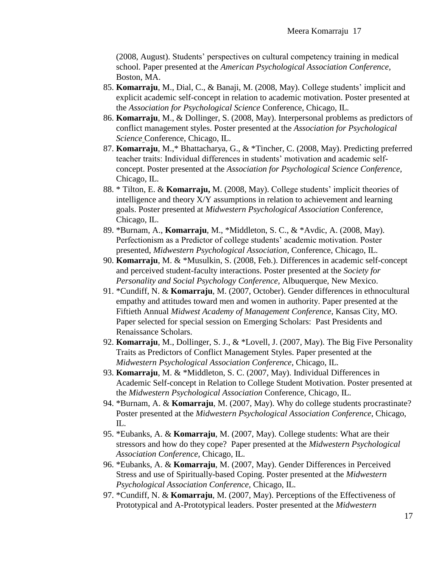(2008, August). Students' perspectives on cultural competency training in medical school. Paper presented at the *American Psychological Association Conference,* Boston, MA.

- 85. **Komarraju**, M., Dial, C., & Banaji, M. (2008, May). College students' implicit and explicit academic self-concept in relation to academic motivation. Poster presented at the *Association for Psychological Science* Conference, Chicago, IL.
- 86. **Komarraju**, M., & Dollinger, S. (2008, May). Interpersonal problems as predictors of conflict management styles. Poster presented at the *Association for Psychological Science* Conference, Chicago, IL.
- 87. **Komarraju**, M.,\* Bhattacharya, G., & \*Tincher, C. (2008, May). Predicting preferred teacher traits: Individual differences in students' motivation and academic selfconcept. Poster presented at the *Association for Psychological Science Conference,* Chicago, IL.
- 88. \* Tilton, E. & **Komarraju,** M. (2008, May). College students' implicit theories of intelligence and theory X/Y assumptions in relation to achievement and learning goals. Poster presented at *Midwestern Psychological Association* Conference, Chicago, IL.
- 89. \*Burnam, A., **Komarraju**, M., \*Middleton, S. C., & \*Avdic, A. (2008, May). Perfectionism as a Predictor of college students' academic motivation. Poster presented, *Midwestern Psychological Association,* Conference, Chicago, IL.
- 90. **Komarraju**, M. & \*Musulkin, S. (2008, Feb.). Differences in academic self-concept and perceived student-faculty interactions. Poster presented at the *Society for Personality and Social Psychology Conference,* Albuquerque, New Mexico.
- 91. \*Cundiff, N. & **Komarraju**, M. (2007, October). Gender differences in ethnocultural empathy and attitudes toward men and women in authority. Paper presented at the Fiftieth Annual *Midwest Academy of Management Conference*, Kansas City, MO. Paper selected for special session on Emerging Scholars: Past Presidents and Renaissance Scholars.
- 92. **Komarraju**, M., Dollinger, S. J., & \*Lovell, J. (2007, May). The Big Five Personality Traits as Predictors of Conflict Management Styles. Paper presented at the *Midwestern Psychological Association Conference*, Chicago, IL.
- 93. **Komarraju**, M. & \*Middleton, S. C. (2007, May). Individual Differences in Academic Self-concept in Relation to College Student Motivation. Poster presented at the *Midwestern Psychological Association* Conference, Chicago, IL.
- 94. \*Burnam, A. & **Komarraju**, M. (2007, May). Why do college students procrastinate? Poster presented at the *Midwestern Psychological Association Conference*, Chicago, IL.
- 95. \*Eubanks, A. & **Komarraju**, M. (2007, May). College students: What are their stressors and how do they cope? Paper presented at the *Midwestern Psychological Association Conference*, Chicago, IL.
- 96. \*Eubanks, A. & **Komarraju**, M. (2007, May). Gender Differences in Perceived Stress and use of Spiritually-based Coping. Poster presented at the *Midwestern Psychological Association Conference,* Chicago, IL.
- 97. \*Cundiff, N. & **Komarraju**, M. (2007, May). Perceptions of the Effectiveness of Prototypical and A-Prototypical leaders. Poster presented at the *Midwestern*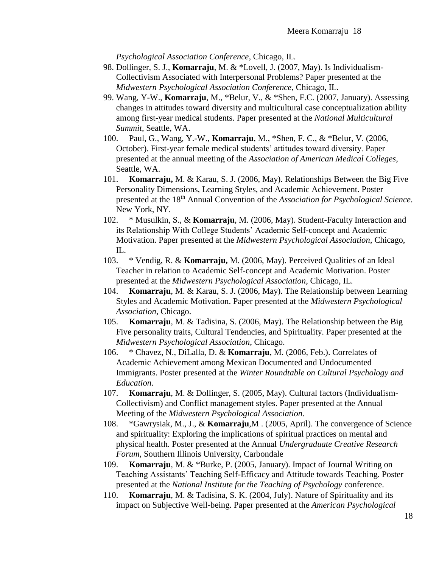*Psychological Association Conference*, Chicago, IL.

- 98. Dollinger, S. J., **Komarraju**, M. & \*Lovell, J. (2007, May). Is Individualism-Collectivism Associated with Interpersonal Problems? Paper presented at the *Midwestern Psychological Association Conference*, Chicago, IL.
- 99. Wang, Y-W., **Komarraju**, M., \*Belur, V., & \*Shen, F.C. (2007, January). Assessing changes in attitudes toward diversity and multicultural case conceptualization ability among first-year medical students. Paper presented at the *National Multicultural Summit*, Seattle, WA.
- 100. Paul, G., Wang, Y.-W., **Komarraju**, M., \*Shen, F. C., & \*Belur, V. (2006, October). First-year female medical students' attitudes toward diversity. Paper presented at the annual meeting of the *Association of American Medical Colleges*, Seattle, WA.
- 101. **Komarraju,** M. & Karau, S. J. (2006, May). Relationships Between the Big Five Personality Dimensions, Learning Styles, and Academic Achievement. Poster presented at the 18th Annual Convention of the *Association for Psychological Science*. New York, NY.
- 102. \* Musulkin, S., & **Komarraju**, M. (2006, May). Student-Faculty Interaction and its Relationship With College Students' Academic Self-concept and Academic Motivation. Paper presented at the *Midwestern Psychological Association*, Chicago, IL.
- 103. \* Vendig, R. & **Komarraju,** M. (2006, May). Perceived Qualities of an Ideal Teacher in relation to Academic Self-concept and Academic Motivation. Poster presented at the *Midwestern Psychological Association*, Chicago, IL.
- 104. **Komarraju**, M. & Karau, S. J. (2006, May). The Relationship between Learning Styles and Academic Motivation. Paper presented at the *Midwestern Psychological Association*, Chicago.
- 105. **Komarraju**, M. & Tadisina, S. (2006, May). The Relationship between the Big Five personality traits, Cultural Tendencies, and Spirituality. Paper presented at the *Midwestern Psychological Association*, Chicago.
- 106. \* Chavez, N., DiLalla, D. & **Komarraju**, M. (2006, Feb.). Correlates of Academic Achievement among Mexican Documented and Undocumented Immigrants. Poster presented at the *Winter Roundtable on Cultural Psychology and Education*.
- 107. **Komarraju**, M. & Dollinger, S. (2005, May). Cultural factors (Individualism-Collectivism) and Conflict management styles. Paper presented at the Annual Meeting of the *Midwestern Psychological Association.*
- 108. \*Gawrysiak, M., J., & **Komarraju**,M . (2005, April). The convergence of Science and spirituality: Exploring the implications of spiritual practices on mental and physical health. Poster presented at the Annual *Undergraduate Creative Research Forum*, Southern Illinois University, Carbondale
- 109. **Komarraju**, M. & \*Burke, P. (2005, January). Impact of Journal Writing on Teaching Assistants' Teaching Self-Efficacy and Attitude towards Teaching. Poster presented at the *National Institute for the Teaching of Psychology* conference.
- 110. **Komarraju**, M. & Tadisina, S. K. (2004, July). Nature of Spirituality and its impact on Subjective Well-being. Paper presented at the *American Psychological*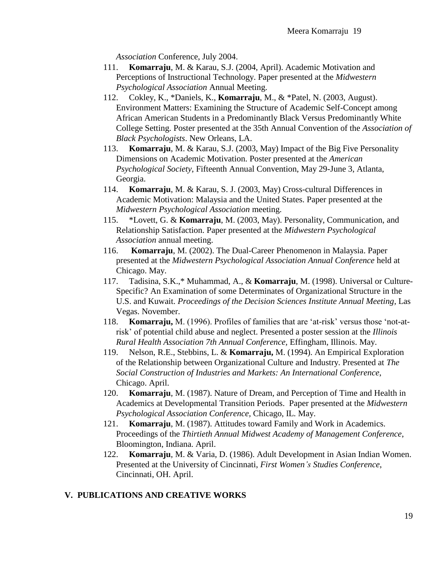*Association* Conference, July 2004.

- 111. **Komarraju**, M. & Karau, S.J. (2004, April). Academic Motivation and Perceptions of Instructional Technology. Paper presented at the *Midwestern Psychological Association* Annual Meeting.
- 112. Cokley, K., \*Daniels, K., **Komarraju**, M., & \*Patel, N. (2003, August). Environment Matters: Examining the Structure of Academic Self-Concept among African American Students in a Predominantly Black Versus Predominantly White College Setting. Poster presented at the 35th Annual Convention of the *Association of Black Psychologists*. New Orleans, LA.
- 113. **Komarraju**, M. & Karau, S.J. (2003, May) Impact of the Big Five Personality Dimensions on Academic Motivation. Poster presented at the *American Psychological Society*, Fifteenth Annual Convention, May 29-June 3, Atlanta, Georgia.
- 114. **Komarraju**, M. & Karau, S. J. (2003, May) Cross-cultural Differences in Academic Motivation: Malaysia and the United States. Paper presented at the *Midwestern Psychological Association* meeting.
- 115. \*Lovett, G. & **Komarraju**, M. (2003, May). Personality, Communication, and Relationship Satisfaction. Paper presented at the *Midwestern Psychological Association* annual meeting.
- 116. **Komarraju**, M. (2002). The Dual-Career Phenomenon in Malaysia. Paper presented at the *Midwestern Psychological Association Annual Conference* held at Chicago. May.
- 117. Tadisina, S.K.,\* Muhammad, A., & **Komarraju**, M. (1998). Universal or Culture-Specific? An Examination of some Determinates of Organizational Structure in the U.S. and Kuwait. *Proceedings of the Decision Sciences Institute Annual Meeting*, Las Vegas. November.
- 118. **Komarraju,** M. (1996). Profiles of families that are 'at-risk' versus those 'not-atrisk' of potential child abuse and neglect. Presented a poster session at the *Illinois Rural Health Association 7th Annual Conference,* Effingham, Illinois. May.
- 119. Nelson, R.E., Stebbins, L. & **Komarraju,** M. (1994). An Empirical Exploration of the Relationship between Organizational Culture and Industry. Presented at *The Social Construction of Industries and Markets: An International Conference*, Chicago. April.
- 120. **Komarraju**, M. (1987). Nature of Dream, and Perception of Time and Health in Academics at Developmental Transition Periods. Paper presented at the *Midwestern Psychological Association Conference,* Chicago, IL. May.
- 121. **Komarraju**, M. (1987). Attitudes toward Family and Work in Academics. Proceedings of the *Thirtieth Annual Midwest Academy of Management Conference*, Bloomington, Indiana. April.
- 122. **Komarraju**, M. & Varia, D. (1986). Adult Development in Asian Indian Women. Presented at the University of Cincinnati, *First Women's Studies Conference*, Cincinnati, OH. April.

## **V. PUBLICATIONS AND CREATIVE WORKS**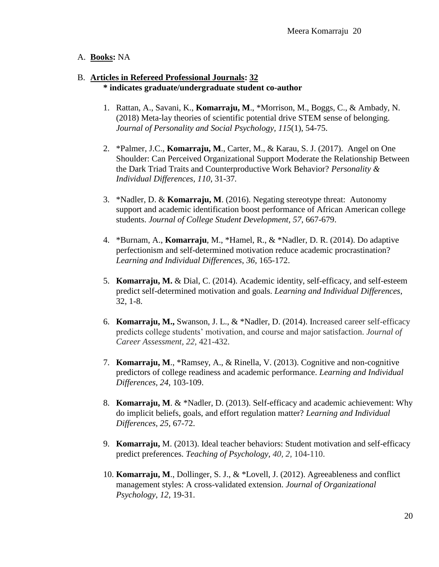## A. **Books:** NA

#### B. **Articles in Refereed Professional Journals: 32 \* indicates graduate/undergraduate student co-author**

- 1. Rattan, A., Savani, K., **Komarraju, M**., \*Morrison, M., Boggs, C., & Ambady, N. (2018) Meta-lay theories of scientific potential drive STEM sense of belonging. *Journal of Personality and Social Psychology, 115*(1), 54-75.
- 2. \*Palmer, J.C., **Komarraju, M**., Carter, M., & Karau, S. J. (2017). Angel on One Shoulder: Can Perceived Organizational Support Moderate the Relationship Between the Dark Triad Traits and Counterproductive Work Behavior? *Personality & Individual Differences, 110*, 31-37*.*
- 3. \*Nadler, D. & **Komarraju, M**. (2016). Negating stereotype threat: Autonomy support and academic identification boost performance of African American college students. *Journal of College Student Development, 57*, 667-679.
- 4. \*Burnam, A., **Komarraju**, M., \*Hamel, R., & \*Nadler, D. R. (2014). Do adaptive perfectionism and self-determined motivation reduce academic procrastination? *Learning and Individual Differences*, *36,* 165-172.
- 5. **Komarraju, M.** & Dial, C. (2014). Academic identity, self-efficacy, and self-esteem predict self-determined motivation and goals. *Learning and Individual Differences*, 32, 1-8.
- 6. **Komarraju, M.,** Swanson, J. L., & \*Nadler, D. (2014). Increased career self-efficacy predicts college students' motivation, and course and major satisfaction. *Journal of Career Assessment, 22,* 421-432.
- 7. **Komarraju, M**., \*Ramsey, A., & Rinella, V. (2013). Cognitive and non-cognitive predictors of college readiness and academic performance. *Learning and Individual Differences, 24,* 103-109.
- 8. **Komarraju, M**. & \*Nadler, D. (2013). Self-efficacy and academic achievement: Why do implicit beliefs, goals, and effort regulation matter? *Learning and Individual Differences, 25,* 67-72.
- 9. **Komarraju,** M. (2013). Ideal teacher behaviors: Student motivation and self-efficacy predict preferences. *Teaching of Psychology, 40, 2,* 104-110.
- 10. **Komarraju, M**., Dollinger, S. J., & \*Lovell, J. (2012). Agreeableness and conflict management styles: A cross-validated extension. *Journal of Organizational Psychology*, *12,* 19-31.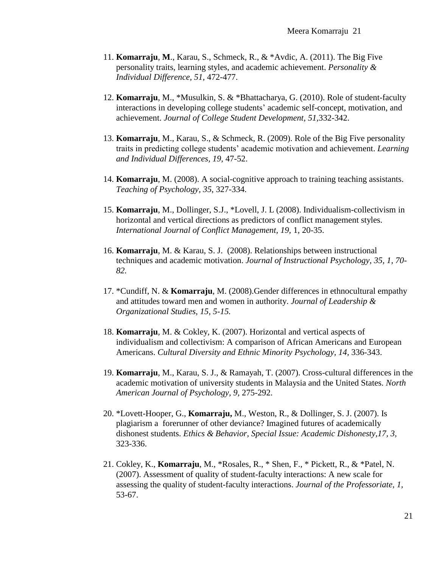- 11. **Komarraju**, **M**., Karau, S., Schmeck, R., & \*Avdic, A. (2011). The Big Five personality traits, learning styles, and academic achievement. *Personality & Individual Difference, 51,* 472-477.
- 12. **Komarraju**, M., \*Musulkin, S. & \*Bhattacharya, G. (2010). Role of student-faculty interactions in developing college students' academic self-concept, motivation, and achievement. *Journal of College Student Development*, *51*,332-342.
- 13. **Komarraju**, M., Karau, S., & Schmeck, R. (2009). Role of the Big Five personality traits in predicting college students' academic motivation and achievement. *Learning and Individual Differences, 19*, 47-52.
- 14. **Komarraju**, M. (2008). A social-cognitive approach to training teaching assistants. *Teaching of Psychology, 35*, 327-334.
- 15. **Komarraju**, M., Dollinger, S.J., \*Lovell, J. L (2008). Individualism-collectivism in horizontal and vertical directions as predictors of conflict management styles. *International Journal of Conflict Management, 19,* 1, 20-35.
- 16. **Komarraju**, M. & Karau, S. J. (2008). Relationships between instructional techniques and academic motivation. *Journal of Instructional Psychology, 35, 1, 70- 82.*
- 17. \*Cundiff, N. & **Komarraju**, M. (2008).Gender differences in ethnocultural empathy and attitudes toward men and women in authority. *Journal of Leadership & Organizational Studies, 15, 5-15.*
- 18. **Komarraju**, M. & Cokley, K. (2007). Horizontal and vertical aspects of individualism and collectivism: A comparison of African Americans and European Americans. *Cultural Diversity and Ethnic Minority Psychology, 14,* 336-343.
- 19. **Komarraju**, M., Karau, S. J., & Ramayah, T. (2007). Cross-cultural differences in the academic motivation of university students in Malaysia and the United States. *North American Journal of Psychology, 9,* 275-292.
- 20. \*Lovett-Hooper, G., **Komarraju,** M., Weston, R., & Dollinger, S. J. (2007). Is plagiarism a forerunner of other deviance? Imagined futures of academically dishonest students. *Ethics & Behavior, Special Issue: Academic Dishonesty,17, 3,*  323-336.
- 21. Cokley, K., **Komarraju**, M., \*Rosales, R., \* Shen, F., \* Pickett, R., & \*Patel, N. (2007). Assessment of quality of student-faculty interactions: A new scale for assessing the quality of student-faculty interactions. *Journal of the Professoriate, 1,*  53-67.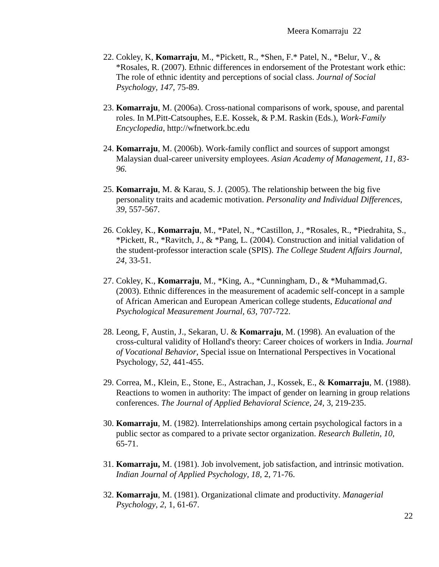- 22. Cokley, K, **Komarraju**, M., \*Pickett, R., \*Shen, F.\* Patel, N., \*Belur, V., & \*Rosales, R. (2007). Ethnic differences in endorsement of the Protestant work ethic: The role of ethnic identity and perceptions of social class. *Journal of Social Psychology, 147,* 75-89.
- 23. **Komarraju**, M. (2006a). Cross-national comparisons of work, spouse, and parental roles. In M.Pitt-Catsouphes, E.E. Kossek, & P.M. Raskin (Eds.), *Work-Family Encyclopedia*, http://wfnetwork.bc.edu
- 24. **Komarraju**, M. (2006b). Work-family conflict and sources of support amongst Malaysian dual-career university employees. *Asian Academy of Management, 11, 83- 96.*
- 25. **Komarraju**, M. & Karau, S. J. (2005). The relationship between the big five personality traits and academic motivation. *Personality and Individual Differences, 39*, 557-567.
- 26. Cokley, K., **Komarraju**, M., \*Patel, N., \*Castillon, J., \*Rosales, R., \*Piedrahita, S., \*Pickett, R., \*Ravitch, J., & \*Pang, L. (2004). Construction and initial validation of the student-professor interaction scale (SPIS). *The College Student Affairs Journal, 24,* 33-51.
- 27. Cokley, K., **Komarraju**, M., \*King, A., \*Cunningham, D., & \*Muhammad,G. (2003). Ethnic differences in the measurement of academic self-concept in a sample of African American and European American college students, *Educational and Psychological Measurement Journal, 63,* 707-722.
- 28. Leong, F, Austin, J., Sekaran, U. & **Komarraju**, M. (1998). An evaluation of the cross-cultural validity of Holland's theory: Career choices of workers in India. *Journal of Vocational Behavior,* Special issue on International Perspectives in Vocational Psychology*, 52,* 441-455.
- 29. Correa, M., Klein, E., Stone, E., Astrachan, J., Kossek, E., & **Komarraju**, M. (1988). Reactions to women in authority: The impact of gender on learning in group relations conferences. *The Journal of Applied Behavioral Science, 24,* 3, 219-235.
- 30. **Komarraju**, M. (1982). Interrelationships among certain psychological factors in a public sector as compared to a private sector organization. *Research Bulletin, 10,* 65-71.
- 31. **Komarraju,** M. (1981). Job involvement, job satisfaction, and intrinsic motivation. *Indian Journal of Applied Psychology, 18,* 2, 71-76.
- 32. **Komarraju**, M. (1981). Organizational climate and productivity. *Managerial Psychology, 2,* 1, 61-67.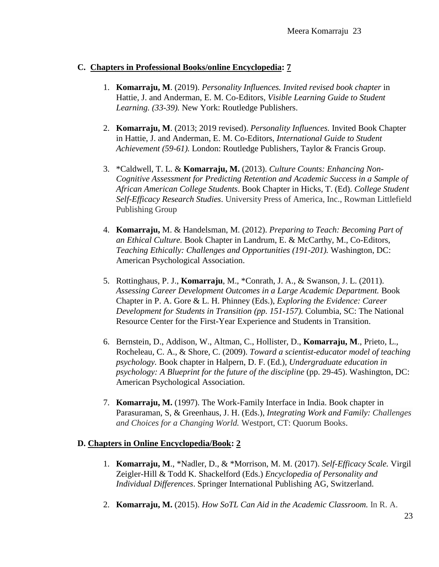## **C. Chapters in Professional Books/online Encyclopedia: 7**

- 1. **Komarraju, M**. (2019). *Personality Influences. Invited revised book chapter* in Hattie, J. and Anderman, E. M. Co-Editors, *Visible Learning Guide to Student Learning. (33-39).* New York: Routledge Publishers.
- 2. **Komarraju, M**. (2013; 2019 revised). *Personality Influences.* Invited Book Chapter in Hattie, J. and Anderman, E. M. Co-Editors, *International Guide to Student Achievement (59-61).* London: Routledge Publishers, Taylor & Francis Group.
- 3. \*Caldwell, T. L. & **Komarraju, M.** (2013). *Culture Counts: Enhancing Non-Cognitive Assessment for Predicting Retention and Academic Success in a Sample of African American College Students*. Book Chapter in Hicks, T. (Ed). *College Student Self-Efficacy Research Studies*. University Press of America, Inc., Rowman Littlefield Publishing Group
- 4. **Komarraju,** M. & Handelsman, M. (2012). *Preparing to Teach: Becoming Part of an Ethical Culture.* Book Chapter in Landrum, E. & McCarthy, M., Co-Editors, *Teaching Ethically: Challenges and Opportunities (191-201).* Washington, DC: American Psychological Association.
- 5. Rottinghaus, P. J., **Komarraju**, M., \*Conrath, J. A., & Swanson, J. L. (2011). *Assessing Career Development Outcomes in a Large Academic Department.* Book Chapter in P. A. Gore & L. H. Phinney (Eds.), *Exploring the Evidence: Career Development for Students in Transition (pp. 151-157).* Columbia, SC: The National Resource Center for the First-Year Experience and Students in Transition.
- 6. Bernstein, D., Addison, W., Altman, C., Hollister, D., **Komarraju, M**., Prieto, L., Rocheleau, C. A., & Shore, C. (2009). *Toward a scientist-educator model of teaching psychology.* Book chapter in Halpern, D. F. (Ed.), *Undergraduate education in psychology: A Blueprint for the future of the discipline* (pp. 29-45). Washington, DC: American Psychological Association.
- 7. **Komarraju, M.** (1997). The Work-Family Interface in India. Book chapter in Parasuraman, S, & Greenhaus, J. H. (Eds.), *Integrating Work and Family: Challenges and Choices for a Changing World.* Westport, CT: Quorum Books.

## **D. Chapters in Online Encyclopedia/Book: 2**

- 1. **Komarraju, M**., \*Nadler, D., & \*Morrison, M. M. (2017). *Self-Efficacy Scale.* Virgil Zeigler-Hill & Todd K. Shackelford (Eds.) *Encyclopedia of Personality and Individual Differences*. Springer International Publishing AG, Switzerland.
- 2. **Komarraju, M.** (2015). *How SoTL Can Aid in the Academic Classroom.* In R. A.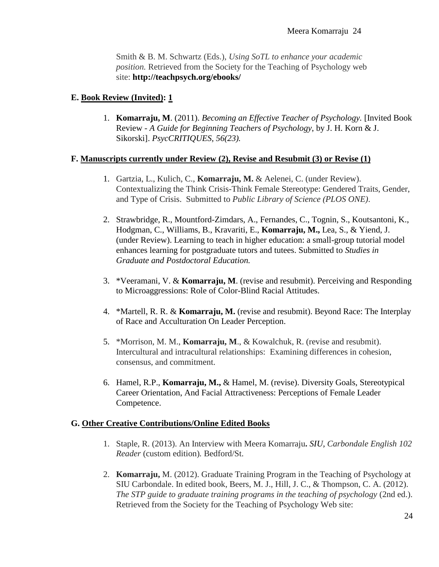Smith & B. M. Schwartz (Eds.), *Using SoTL to enhance your academic position.* Retrieved from the Society for the Teaching of Psychology web site: **<http://teachpsych.org/ebooks/>**

## **E. Book Review (Invited): 1**

1. **Komarraju, M**. (2011). *Becoming an Effective Teacher of Psychology.* [Invited Book Review - *A Guide for Beginning Teachers of Psychology*, by J. H. Korn & J. Sikorski]. *PsycCRITIQUES, 56(23).*

## **F. Manuscripts currently under Review (2), Revise and Resubmit (3) or Revise (1)**

- 1. Gartzia, L., Kulich, C., **Komarraju, M.** & Aelenei, C. (under Review). Contextualizing the Think Crisis-Think Female Stereotype: Gendered Traits, Gender, and Type of Crisis. Submitted to *Public Library of Science (PLOS ONE)*.
- 2. Strawbridge, R., Mountford-Zimdars, A., Fernandes, C., Tognin, S., Koutsantoni, K., Hodgman, C., Williams, B., Kravariti, E., **Komarraju, M.,** Lea, S., & Yiend, J. (under Review). Learning to teach in higher education: a small-group tutorial model enhances learning for postgraduate tutors and tutees. Submitted to *Studies in Graduate and Postdoctoral Education.*
- 3. \*Veeramani, V. & **Komarraju, M**. (revise and resubmit). Perceiving and Responding to Microaggressions: Role of Color-Blind Racial Attitudes.
- 4. \*Martell, R. R. & **Komarraju, M.** (revise and resubmit). Beyond Race: The Interplay of Race and Acculturation On Leader Perception.
- 5. \*Morrison, M. M., **Komarraju, M**., & Kowalchuk, R. (revise and resubmit). Intercultural and intracultural relationships: Examining differences in cohesion, consensus, and commitment.
- 6. Hamel, R.P., **Komarraju, M.,** & Hamel, M. (revise). Diversity Goals, Stereotypical Career Orientation, And Facial Attractiveness: Perceptions of Female Leader Competence.

## **G. Other Creative Contributions/Online Edited Books**

- 1. Staple, R. (2013). An Interview with Meera Komarraju**.** *SIU, Carbondale English 102 Reader* (custom edition)*.* Bedford/St.
- 2. **Komarraju,** M. (2012). Graduate Training Program in the Teaching of Psychology at SIU Carbondale. In edited book, Beers, M. J., Hill, J. C., & Thompson, C. A. (2012). *The STP guide to graduate training programs in the teaching of psychology* (2nd ed.). Retrieved from the Society for the Teaching of Psychology Web site: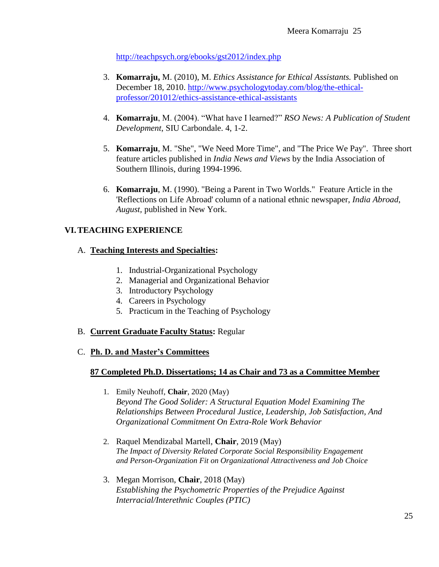<http://teachpsych.org/ebooks/gst2012/index.php>

- 3. **Komarraju,** M. (2010), M. *Ethics Assistance for Ethical Assistants.* Published on December 18, 2010. [http://www.psychologytoday.com/blog/the-ethical](http://www.psychologytoday.com/blog/the-ethical-professor/201012/ethics-assistance-ethical-assistants)[professor/201012/ethics-assistance-ethical-assistants](http://www.psychologytoday.com/blog/the-ethical-professor/201012/ethics-assistance-ethical-assistants)
- 4. **Komarraju**, M. (2004). "What have I learned?" *RSO News: A Publication of Student Development*, SIU Carbondale. 4, 1-2.
- 5. **Komarraju**, M. "She", "We Need More Time", and "The Price We Pay". Three short feature articles published in *India News and Views* by the India Association of Southern Illinois, during 1994-1996.
- 6. **Komarraju**, M. (1990). "Being a Parent in Two Worlds." Feature Article in the 'Reflections on Life Abroad' column of a national ethnic newspaper, *India Abroad*, *August,* published in New York.

# **VI.TEACHING EXPERIENCE**

## A. **Teaching Interests and Specialties:**

- 1. Industrial-Organizational Psychology
- 2. Managerial and Organizational Behavior
- 3. Introductory Psychology
- 4. Careers in Psychology
- 5. Practicum in the Teaching of Psychology

## B. **Current Graduate Faculty Status:** Regular

C. **Ph. D. and Master's Committees**

## **87 Completed Ph.D. Dissertations; 14 as Chair and 73 as a Committee Member**

- 1. Emily Neuhoff, **Chair**, 2020 (May) *Beyond The Good Solider: A Structural Equation Model Examining The Relationships Between Procedural Justice, Leadership, Job Satisfaction, And Organizational Commitment On Extra-Role Work Behavior*
- 2. Raquel Mendizabal Martell, **Chair**, 2019 (May) *The Impact of Diversity Related Corporate Social Responsibility Engagement and Person-Organization Fit on Organizational Attractiveness and Job Choice*
- 3. Megan Morrison, **Chair**, 2018 (May) *Establishing the Psychometric Properties of the Prejudice Against Interracial/Interethnic Couples (PTIC)*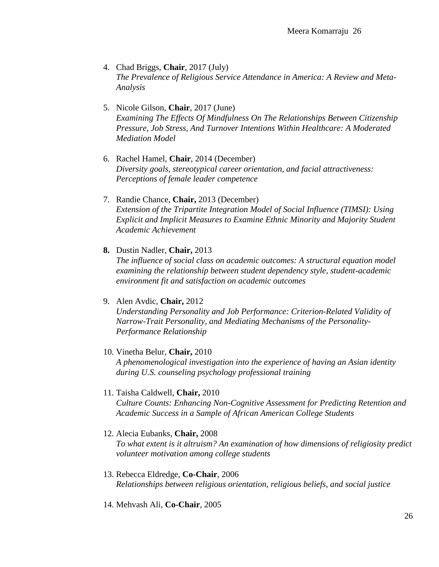- 4. Chad Briggs, **Chair**, 2017 (July) *The Prevalence of Religious Service Attendance in America: A Review and Meta-Analysis*
- 5. Nicole Gilson, **Chair**, 2017 (June) *Examining The Effects Of Mindfulness On The Relationships Between Citizenship Pressure, Job Stress, And Turnover Intentions Within Healthcare: A Moderated Mediation Model*
- 6. Rachel Hamel, **Chair**, 2014 (December) *Diversity goals, stereotypical career orientation, and facial attractiveness: Perceptions of female leader competence*
- 7. Randie Chance, **Chair,** 2013 (December) *Extension of the Tripartite Integration Model of Social Influence (TIMSI): Using Explicit and Implicit Measures to Examine Ethnic Minority and Majority Student Academic Achievement*
- **8.** Dustin Nadler, **Chair,** 2013 *The influence of social class on academic outcomes: A structural equation model examining the relationship between student dependency style, student-academic environment fit and satisfaction on academic outcomes*
- 9. Alen Avdic, **Chair,** 2012 *Understanding Personality and Job Performance: Criterion-Related Validity of Narrow-Trait Personality, and Mediating Mechanisms of the Personality-Performance Relationship*
- 10. Vinetha Belur, **Chair,** 2010 *A phenomenological investigation into the experience of having an Asian identity during U.S. counseling psychology professional training*
- 11. Taisha Caldwell, **Chair,** 2010 *Culture Counts: Enhancing Non-Cognitive Assessment for Predicting Retention and Academic Success in a Sample of African American College Students*
- 12. Alecia Eubanks, **Chair,** 2008 *To what extent is it altruism? An examination of how dimensions of religiosity predict volunteer motivation among college students*
- 13. Rebecca Eldredge, **Co-Chair**, 2006 *Relationships between religious orientation, religious beliefs, and social justice*
- 14. Mehvash Ali, **Co-Chair**, 2005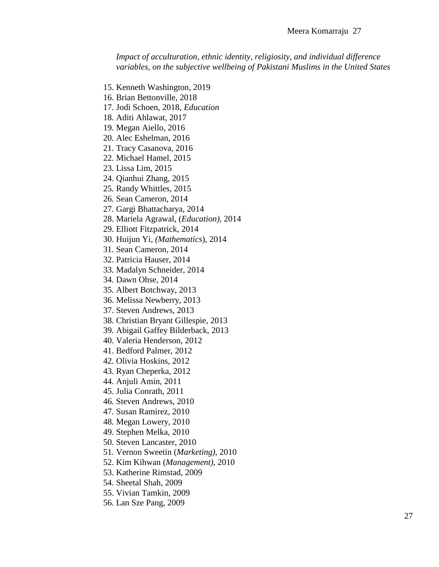*Impact of acculturation, ethnic identity, religiosity, and individual difference variables, on the subjective wellbeing of Pakistani Muslims in the United States*

- 15. Kenneth Washington, 2019
- 16. Brian Bettonville, 2018
- 17. Jodi Schoen, 2018, *Education*
- 18. Aditi Ahlawat, 2017
- 19. Megan Aiello, 2016
- 20. Alec Eshelman, 2016
- 21. Tracy Casanova, 2016
- 22. Michael Hamel, 2015
- 23. Lissa Lim, 2015
- 24. Qianhui Zhang, 2015
- 25. Randy Whittles, 2015
- 26. Sean Cameron, 2014
- 27. Gargi Bhattacharya, 2014
- 28. Mariela Agrawal, (*Education),* 2014
- 29. Elliott Fitzpatrick, 2014
- 30. Huijun Yi, *(Mathematics*), 2014
- 31. Sean Cameron, 2014
- 32. Patricia Hauser, 2014
- 33. Madalyn Schneider, 2014
- 34. Dawn Ohse, 2014
- 35. Albert Botchway, 2013
- 36. Melissa Newberry, 2013
- 37. Steven Andrews, 2013
- 38. Christian Bryant Gillespie, 2013
- 39. Abigail Gaffey Bilderback, 2013
- 40. Valeria Henderson, 2012
- 41. Bedford Palmer, 2012
- 42. Olivia Hoskins, 2012
- 43. Ryan Cheperka, 2012
- 44. Anjuli Amin, 2011
- 45. Julia Conrath, 2011
- 46. Steven Andrews, 2010
- 47. Susan Ramirez, 2010
- 48. Megan Lowery, 2010
- 49. Stephen Melka, 2010
- 50. Steven Lancaster, 2010
- 51. Vernon Sweetin (*Marketing),* 2010
- 52. Kim Kihwan (*Management),* 2010
- 53. Katherine Rimstad, 2009
- 54. Sheetal Shah, 2009
- 55. Vivian Tamkin, 2009
- 56. Lan Sze Pang, 2009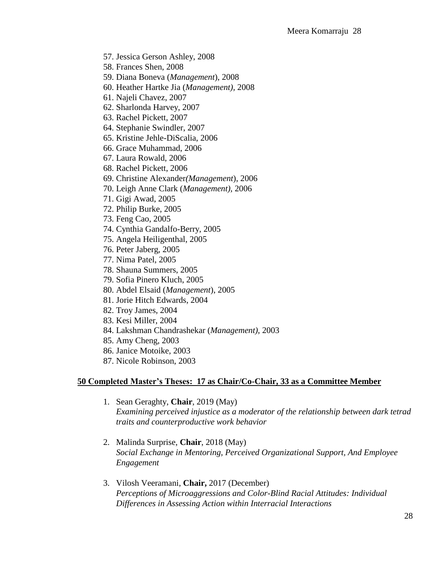- 57. Jessica Gerson Ashley, 2008
- 58. Frances Shen, 2008
- 59. Diana Boneva (*Management*), 2008
- 60. Heather Hartke Jia (*Management),* 2008
- 61. Najeli Chavez, 2007
- 62. Sharlonda Harvey, 2007
- 63. Rachel Pickett, 2007
- 64. Stephanie Swindler, 2007
- 65. Kristine Jehle-DiScalia, 2006
- 66. Grace Muhammad, 2006
- 67. Laura Rowald, 2006
- 68. Rachel Pickett, 2006
- 69. Christine Alexander*(Management*), 2006
- 70. Leigh Anne Clark (*Management),* 2006
- 71. Gigi Awad, 2005
- 72. Philip Burke, 2005
- 73. Feng Cao, 2005
- 74. Cynthia Gandalfo-Berry, 2005
- 75. Angela Heiligenthal, 2005
- 76. Peter Jaberg, 2005
- 77. Nima Patel, 2005
- 78. Shauna Summers, 2005
- 79. Sofia Pinero Kluch, 2005
- 80. Abdel Elsaid (*Management*), 2005
- 81. Jorie Hitch Edwards, 2004
- 82. Troy James, 2004
- 83. Kesi Miller, 2004
- 84. Lakshman Chandrashekar (*Management)*, 2003
- 85. Amy Cheng, 2003
- 86. Janice Motoike, 2003
- 87. Nicole Robinson, 2003

#### **50 Completed Master's Theses: 17 as Chair/Co-Chair, 33 as a Committee Member**

- 1. Sean Geraghty, **Chair**, 2019 (May) *Examining perceived injustice as a moderator of the relationship between dark tetrad traits and counterproductive work behavior*
- 2. Malinda Surprise, **Chair**, 2018 (May) *Social Exchange in Mentoring, Perceived Organizational Support, And Employee Engagement*
- 3. Vilosh Veeramani, **Chair,** 2017 (December) *Perceptions of Microaggressions and Color-Blind Racial Attitudes: Individual Differences in Assessing Action within Interracial Interactions*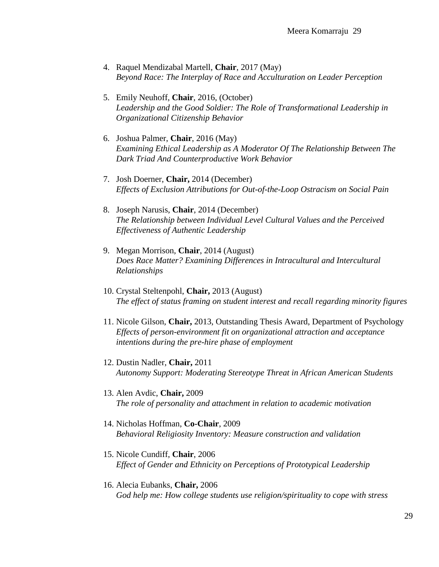- 4. Raquel Mendizabal Martell, **Chair**, 2017 (May) *Beyond Race: The Interplay of Race and Acculturation on Leader Perception*
- 5. Emily Neuhoff, **Chair**, 2016, (October) *Leadership and the Good Soldier: The Role of Transformational Leadership in Organizational Citizenship Behavior*
- 6. Joshua Palmer, **Chair**, 2016 (May) *Examining Ethical Leadership as A Moderator Of The Relationship Between The Dark Triad And Counterproductive Work Behavior*
- 7. Josh Doerner, **Chair,** 2014 (December) *Effects of Exclusion Attributions for Out-of-the-Loop Ostracism on Social Pain*
- 8. Joseph Narusis, **Chair**, 2014 (December) *The Relationship between Individual Level Cultural Values and the Perceived Effectiveness of Authentic Leadership*
- 9. Megan Morrison, **Chair**, 2014 (August) *Does Race Matter? Examining Differences in Intracultural and Intercultural Relationships*
- 10. Crystal Steltenpohl, **Chair,** 2013 (August) *The effect of status framing on student interest and recall regarding minority figures*
- 11. Nicole Gilson, **Chair,** 2013, Outstanding Thesis Award, Department of Psychology *Effects of person-environment fit on organizational attraction and acceptance intentions during the pre-hire phase of employment*
- 12. Dustin Nadler, **Chair,** 2011 *Autonomy Support: Moderating Stereotype Threat in African American Students*
- 13. Alen Avdic, **Chair,** 2009 *The role of personality and attachment in relation to academic motivation*
- 14. Nicholas Hoffman, **Co-Chair**, 2009 *Behavioral Religiosity Inventory: Measure construction and validation*
- 15. Nicole Cundiff, **Chair**, 2006 *Effect of Gender and Ethnicity on Perceptions of Prototypical Leadership*
- 16. Alecia Eubanks, **Chair,** 2006 *God help me: How college students use religion/spirituality to cope with stress*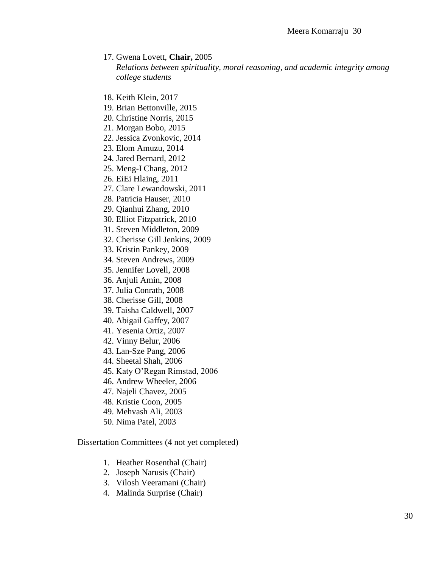17. Gwena Lovett, **Chair,** 2005

*Relations between spirituality, moral reasoning, and academic integrity among college students*

- 18. Keith Klein, 2017
- 19. Brian Bettonville, 2015
- 20. Christine Norris, 2015
- 21. Morgan Bobo, 2015
- 22. Jessica Zvonkovic, 2014
- 23. Elom Amuzu, 2014
- 24. Jared Bernard, 2012
- 25. Meng-I Chang, 2012
- 26. EiEi Hlaing, 2011
- 27. Clare Lewandowski, 2011
- 28. Patricia Hauser, 2010
- 29. Qianhui Zhang, 2010
- 30. Elliot Fitzpatrick, 2010
- 31. Steven Middleton, 2009
- 32. Cherisse Gill Jenkins, 2009
- 33. Kristin Pankey, 2009
- 34. Steven Andrews, 2009
- 35. Jennifer Lovell, 2008
- 36. Anjuli Amin, 2008
- 37. Julia Conrath, 2008
- 38. Cherisse Gill, 2008
- 39. Taisha Caldwell, 2007
- 40. Abigail Gaffey, 2007
- 41. Yesenia Ortiz, 2007
- 42. Vinny Belur, 2006
- 43. Lan-Sze Pang, 2006
- 44. Sheetal Shah, 2006
- 45. Katy O'Regan Rimstad, 2006
- 46. Andrew Wheeler, 2006
- 47. Najeli Chavez, 2005
- 48. Kristie Coon, 2005
- 49. Mehvash Ali, 2003
- 50. Nima Patel, 2003

Dissertation Committees (4 not yet completed)

- 1. Heather Rosenthal (Chair)
- 2. Joseph Narusis (Chair)
- 3. Vilosh Veeramani (Chair)
- 4. Malinda Surprise (Chair)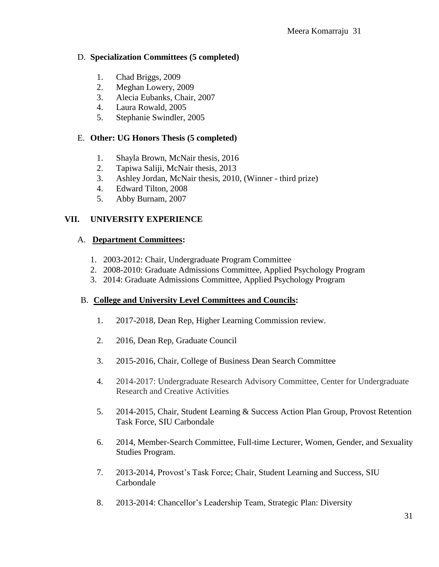## D. **Specialization Committees (5 completed)**

- 1. Chad Briggs, 2009
- 2. Meghan Lowery, 2009
- 3. Alecia Eubanks, Chair, 2007
- 4. Laura Rowald, 2005
- 5. Stephanie Swindler, 2005

# E. **Other: UG Honors Thesis (5 completed)**

- 1. Shayla Brown, McNair thesis, 2016
- 2. Tapiwa Saliji, McNair thesis, 2013
- 3. Ashley Jordan, McNair thesis, 2010, (Winner third prize)
- 4. Edward Tilton, 2008
- 5. Abby Burnam, 2007

# **VII. UNIVERSITY EXPERIENCE**

## A. **Department Committees:**

- 1. 2003-2012: Chair, Undergraduate Program Committee
- 2. 2008-2010: Graduate Admissions Committee, Applied Psychology Program
- 3. 2014: Graduate Admissions Committee, Applied Psychology Program

## B. **College and University Level Committees and Councils:**

- 1. 2017-2018, Dean Rep, Higher Learning Commission review.
- 2. 2016, Dean Rep, Graduate Council
- 3. 2015-2016, Chair, College of Business Dean Search Committee
- 4. 2014-2017: Undergraduate Research Advisory Committee, Center for Undergraduate Research and Creative Activities
- 5. 2014-2015, Chair, Student Learning & Success Action Plan Group, Provost Retention Task Force, SIU Carbondale
- 6. 2014, Member-Search Committee, Full-time Lecturer, Women, Gender, and Sexuality Studies Program.
- 7. 2013-2014, Provost's Task Force; Chair, Student Learning and Success, SIU Carbondale
- 8. 2013-2014: Chancellor's Leadership Team, Strategic Plan: Diversity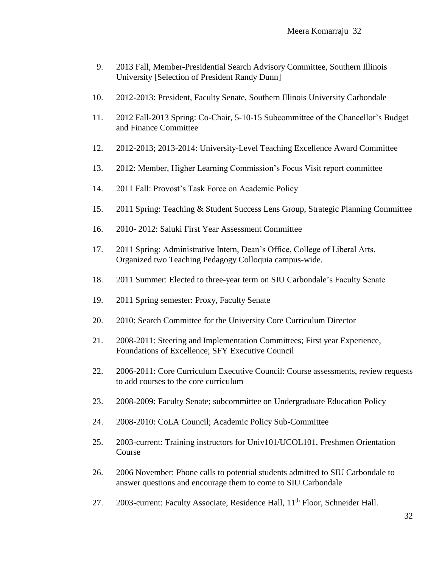- 9. 2013 Fall, Member-Presidential Search Advisory Committee, Southern Illinois University [Selection of President Randy Dunn]
- 10. 2012-2013: President, Faculty Senate, Southern Illinois University Carbondale
- 11. 2012 Fall-2013 Spring: Co-Chair, 5-10-15 Subcommittee of the Chancellor's Budget and Finance Committee
- 12. 2012-2013; 2013-2014: University-Level Teaching Excellence Award Committee
- 13. 2012: Member, Higher Learning Commission's Focus Visit report committee
- 14. 2011 Fall: Provost's Task Force on Academic Policy
- 15. 2011 Spring: Teaching & Student Success Lens Group, Strategic Planning Committee
- 16. 2010- 2012: Saluki First Year Assessment Committee
- 17. 2011 Spring: Administrative Intern, Dean's Office, College of Liberal Arts. Organized two Teaching Pedagogy Colloquia campus-wide.
- 18. 2011 Summer: Elected to three-year term on SIU Carbondale's Faculty Senate
- 19. 2011 Spring semester: Proxy, Faculty Senate
- 20. 2010: Search Committee for the University Core Curriculum Director
- 21. 2008-2011: Steering and Implementation Committees; First year Experience, Foundations of Excellence; SFY Executive Council
- 22. 2006-2011: Core Curriculum Executive Council: Course assessments, review requests to add courses to the core curriculum
- 23. 2008-2009: Faculty Senate; subcommittee on Undergraduate Education Policy
- 24. 2008-2010: CoLA Council; Academic Policy Sub-Committee
- 25. 2003-current: Training instructors for Univ101/UCOL101, Freshmen Orientation Course
- 26. 2006 November: Phone calls to potential students admitted to SIU Carbondale to answer questions and encourage them to come to SIU Carbondale
- 27. 2003-current: Faculty Associate, Residence Hall, 11<sup>th</sup> Floor, Schneider Hall.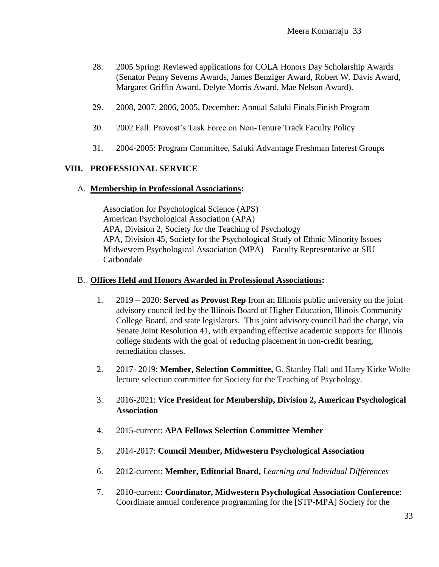- 28. 2005 Spring: Reviewed applications for COLA Honors Day Scholarship Awards (Senator Penny Severns Awards, James Benziger Award, Robert W. Davis Award, Margaret Griffin Award, Delyte Morris Award, Mae Nelson Award).
- 29. 2008, 2007, 2006, 2005, December: Annual Saluki Finals Finish Program
- 30. 2002 Fall: Provost's Task Force on Non-Tenure Track Faculty Policy
- 31. 2004-2005: Program Committee, Saluki Advantage Freshman Interest Groups

#### **VIII. PROFESSIONAL SERVICE**

#### A. **Membership in Professional Associations:**

Association for Psychological Science (APS) American Psychological Association (APA) APA, Division 2, Society for the Teaching of Psychology APA, Division 45, Society for the Psychological Study of Ethnic Minority Issues Midwestern Psychological Association (MPA) – Faculty Representative at SIU Carbondale

#### B. **Offices Held and Honors Awarded in Professional Associations:**

- 1. 2019 2020: **Served as Provost Rep** from an Illinois public university on the joint advisory council led by the Illinois Board of Higher Education, Illinois Community College Board, and state legislators. This joint advisory council had the charge, via Senate Joint Resolution 41, with expanding effective academic supports for Illinois college students with the goal of reducing placement in non-credit bearing, remediation classes.
- 2. 2017- 2019: **Member, Selection Committee,** G. Stanley Hall and Harry Kirke Wolfe lecture selection committee for Society for the Teaching of Psychology.
- 3. 2016-2021: **Vice President for Membership, Division 2, American Psychological Association**
- 4. 2015-current: **APA Fellows Selection Committee Member**
- 5. 2014-2017: **Council Member, Midwestern Psychological Association**
- 6. 2012-current: **Member, Editorial Board,** *Learning and Individual Differences*
- 7. 2010-current: **Coordinator, Midwestern Psychological Association Conference**: Coordinate annual conference programming for the [STP-MPA] Society for the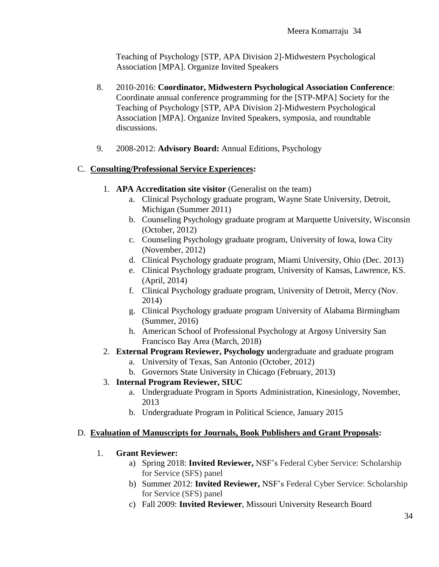Teaching of Psychology [STP, APA Division 2]-Midwestern Psychological Association [MPA]. Organize Invited Speakers

- 8. 2010-2016: **Coordinator, Midwestern Psychological Association Conference**: Coordinate annual conference programming for the [STP-MPA] Society for the Teaching of Psychology [STP, APA Division 2]-Midwestern Psychological Association [MPA]. Organize Invited Speakers, symposia, and roundtable discussions.
- 9. 2008-2012: **Advisory Board:** Annual Editions, Psychology

# C. **Consulting/Professional Service Experiences:**

- 1. **APA Accreditation site visitor** (Generalist on the team)
	- a. Clinical Psychology graduate program, Wayne State University, Detroit, Michigan (Summer 2011)
	- b. Counseling Psychology graduate program at Marquette University, Wisconsin (October, 2012)
	- c. Counseling Psychology graduate program, University of Iowa, Iowa City (November, 2012)
	- d. Clinical Psychology graduate program, Miami University, Ohio (Dec. 2013)
	- e. Clinical Psychology graduate program, University of Kansas, Lawrence, KS. (April, 2014)
	- f. Clinical Psychology graduate program, University of Detroit, Mercy (Nov. 2014)
	- g. Clinical Psychology graduate program University of Alabama Birmingham (Summer, 2016)
	- h. American School of Professional Psychology at Argosy University San Francisco Bay Area (March, 2018)
- 2. **External Program Reviewer, Psychology u**ndergraduate and graduate program
	- a. University of Texas, San Antonio (October, 2012)
	- b. Governors State University in Chicago (February, 2013)
- 3. **Internal Program Reviewer, SIUC**
	- a. Undergraduate Program in Sports Administration, Kinesiology, November, 2013
	- b. Undergraduate Program in Political Science, January 2015

## D. **Evaluation of Manuscripts for Journals, Book Publishers and Grant Proposals:**

- 1. **Grant Reviewer:**
	- a) Spring 2018: **Invited Reviewer,** NSF's Federal Cyber Service: Scholarship for Service (SFS) panel
	- b) Summer 2012: **Invited Reviewer,** NSF's Federal Cyber Service: Scholarship for Service (SFS) panel
	- c) Fall 2009: **Invited Reviewer**, Missouri University Research Board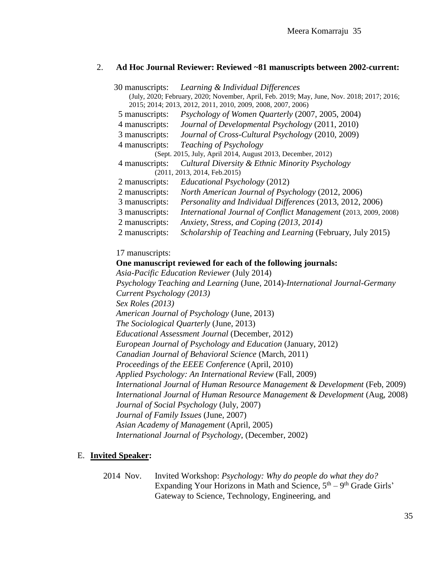#### 2. **Ad Hoc Journal Reviewer: Reviewed ~81 manuscripts between 2002-current:**

| 30 manuscripts:                                                                                                                                           | Learning & Individual Differences                               |  |
|-----------------------------------------------------------------------------------------------------------------------------------------------------------|-----------------------------------------------------------------|--|
| (July, 2020; February, 2020; November, April, Feb. 2019; May, June, Nov. 2018; 2017; 2016;<br>2015; 2014; 2013, 2012, 2011, 2010, 2009, 2008, 2007, 2006) |                                                                 |  |
| 5 manuscripts:                                                                                                                                            | Psychology of Women Quarterly (2007, 2005, 2004)                |  |
| 4 manuscripts:                                                                                                                                            | Journal of Developmental Psychology (2011, 2010)                |  |
| 3 manuscripts:                                                                                                                                            | Journal of Cross-Cultural Psychology (2010, 2009)               |  |
| 4 manuscripts:                                                                                                                                            | Teaching of Psychology                                          |  |
| (Sept. 2015, July, April 2014, August 2013, December, 2012)                                                                                               |                                                                 |  |
| 4 manuscripts:                                                                                                                                            | Cultural Diversity & Ethnic Minority Psychology                 |  |
|                                                                                                                                                           | (2011, 2013, 2014, Feb.2015)                                    |  |
| 2 manuscripts:                                                                                                                                            | Educational Psychology (2012)                                   |  |
| 2 manuscripts:                                                                                                                                            | North American Journal of Psychology (2012, 2006)               |  |
| 3 manuscripts:                                                                                                                                            | Personality and Individual Differences (2013, 2012, 2006)       |  |
| 3 manuscripts:                                                                                                                                            | International Journal of Conflict Management (2013, 2009, 2008) |  |
| 2 manuscripts:                                                                                                                                            | Anxiety, Stress, and Coping (2013, 2014)                        |  |
| 2 manuscripts:                                                                                                                                            | Scholarship of Teaching and Learning (February, July 2015)      |  |

#### 17 manuscripts:

#### **One manuscript reviewed for each of the following journals:**

*Asia-Pacific Education Reviewer* (July 2014) *Psychology Teaching and Learning* (June, 2014)*-International Journal-Germany Current Psychology (2013) Sex Roles (2013) American Journal of Psychology* (June, 2013) *The Sociological Quarterly* (June, 2013) *Educational Assessment Journal* (December, 2012) *European Journal of Psychology and Education* (January, 2012) *Canadian Journal of Behavioral Science* (March, 2011) *Proceedings of the EEEE Conference* (April, 2010) *Applied Psychology: An International Review* (Fall, 2009) *International Journal of Human Resource Management & Development* (Feb, 2009) *International Journal of Human Resource Management & Development* (Aug, 2008) *Journal of Social Psychology* (July, 2007) *Journal of Family Issues* (June, 2007) *Asian Academy of Management* (April, 2005) *International Journal of Psychology*, (December, 2002)

#### E. **Invited Speaker:**

2014 Nov. Invited Workshop: *Psychology: Why do people do what they do?* Expanding Your Horizons in Math and Science,  $5<sup>th</sup> - 9<sup>th</sup>$  Grade Girls' Gateway to Science, Technology, Engineering, and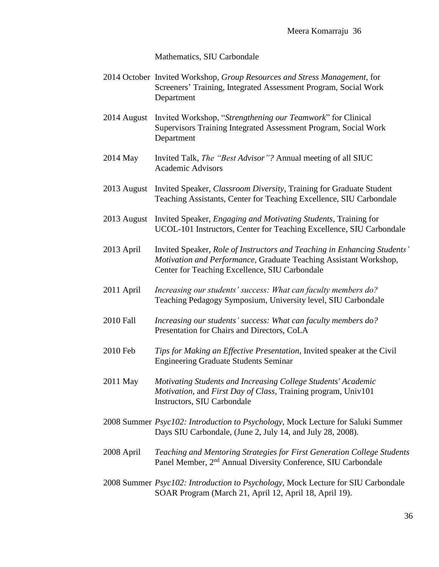Mathematics, SIU Carbondale

- 2014 October Invited Workshop, *Group Resources and Stress Management*, for Screeners' Training, Integrated Assessment Program, Social Work Department
- 2014 August Invited Workshop, "*Strengthening our Teamwork*" for Clinical Supervisors Training Integrated Assessment Program, Social Work Department
- 2014 May Invited Talk, *The "Best Advisor"?* Annual meeting of all SIUC Academic Advisors
- 2013 August Invited Speaker, *Classroom Diversity*, Training for Graduate Student Teaching Assistants, Center for Teaching Excellence, SIU Carbondale
- 2013 August Invited Speaker, *Engaging and Motivating Students*, Training for UCOL-101 Instructors, Center for Teaching Excellence, SIU Carbondale
- 2013 April Invited Speaker, *Role of Instructors and Teaching in Enhancing Students' Motivation and Performance,* Graduate Teaching Assistant Workshop, Center for Teaching Excellence, SIU Carbondale
- 2011 April *Increasing our students' success: What can faculty members do?* Teaching Pedagogy Symposium, University level, SIU Carbondale
- 2010 Fall *Increasing our students' success: What can faculty members do?* Presentation for Chairs and Directors, CoLA
- 2010 Feb *Tips for Making an Effective Presentation*, Invited speaker at the Civil Engineering Graduate Students Seminar
- 2011 May *Motivating Students and Increasing College Students' Academic Motivation*, and *First Day of Class*, Training program, Univ101 Instructors, SIU Carbondale
- 2008 Summer *Psyc102: Introduction to Psychology*, Mock Lecture for Saluki Summer Days SIU Carbondale, (June 2, July 14, and July 28, 2008).
- 2008 April *Teaching and Mentoring Strategies for First Generation College Students* Panel Member, 2<sup>nd</sup> Annual Diversity Conference, SIU Carbondale
- 2008 Summer *Psyc102: Introduction to Psychology*, Mock Lecture for SIU Carbondale SOAR Program (March 21, April 12, April 18, April 19).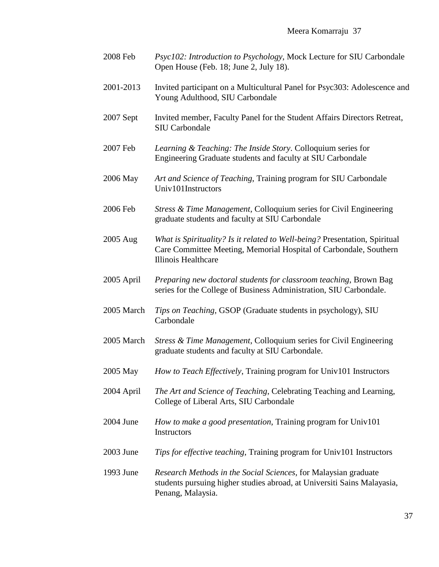| 2008 Feb    | Psyc102: Introduction to Psychology, Mock Lecture for SIU Carbondale<br>Open House (Feb. 18; June 2, July 18).                                                         |
|-------------|------------------------------------------------------------------------------------------------------------------------------------------------------------------------|
| 2001-2013   | Invited participant on a Multicultural Panel for Psyc303: Adolescence and<br>Young Adulthood, SIU Carbondale                                                           |
| $2007$ Sept | Invited member, Faculty Panel for the Student Affairs Directors Retreat,<br><b>SIU Carbondale</b>                                                                      |
| 2007 Feb    | Learning & Teaching: The Inside Story. Colloquium series for<br>Engineering Graduate students and faculty at SIU Carbondale                                            |
| 2006 May    | Art and Science of Teaching, Training program for SIU Carbondale<br>Univ101Instructors                                                                                 |
| 2006 Feb    | Stress & Time Management, Colloquium series for Civil Engineering<br>graduate students and faculty at SIU Carbondale                                                   |
| 2005 Aug    | What is Spirituality? Is it related to Well-being? Presentation, Spiritual<br>Care Committee Meeting, Memorial Hospital of Carbondale, Southern<br>Illinois Healthcare |
| 2005 April  | Preparing new doctoral students for classroom teaching, Brown Bag<br>series for the College of Business Administration, SIU Carbondale.                                |
| 2005 March  | Tips on Teaching, GSOP (Graduate students in psychology), SIU<br>Carbondale                                                                                            |
| 2005 March  | Stress & Time Management, Colloquium series for Civil Engineering<br>graduate students and faculty at SIU Carbondale.                                                  |
| 2005 May    | How to Teach Effectively, Training program for Univ101 Instructors                                                                                                     |
| 2004 April  | The Art and Science of Teaching, Celebrating Teaching and Learning,<br>College of Liberal Arts, SIU Carbondale                                                         |
| 2004 June   | How to make a good presentation, Training program for Univ101<br>Instructors                                                                                           |
| 2003 June   | Tips for effective teaching, Training program for Univ101 Instructors                                                                                                  |
| 1993 June   | Research Methods in the Social Sciences, for Malaysian graduate<br>students pursuing higher studies abroad, at Universiti Sains Malayasia,<br>Penang, Malaysia.        |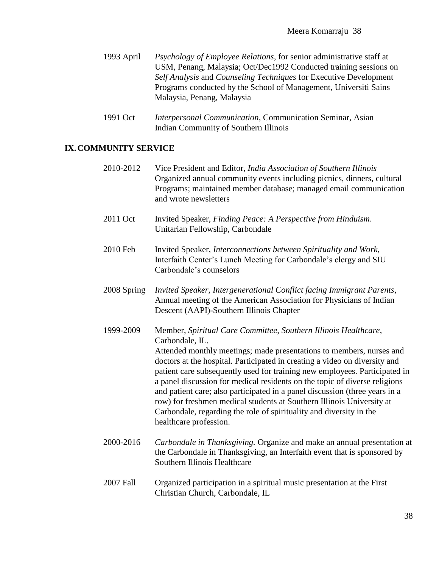- 1993 April *Psychology of Employee Relations*, for senior administrative staff at USM, Penang, Malaysia; Oct/Dec1992 Conducted training sessions on *Self Analysis* and *Counseling Techniques* for Executive Development Programs conducted by the School of Management, Universiti Sains Malaysia, Penang, Malaysia
- 1991 Oct *Interpersonal Communication*, Communication Seminar, Asian Indian Community of Southern Illinois

## **IX.COMMUNITY SERVICE**

| 2010-2012   | Vice President and Editor, India Association of Southern Illinois<br>Organized annual community events including picnics, dinners, cultural<br>Programs; maintained member database; managed email communication<br>and wrote newsletters                                                                                                                                                                                                                                                                                                                                                                                                                     |
|-------------|---------------------------------------------------------------------------------------------------------------------------------------------------------------------------------------------------------------------------------------------------------------------------------------------------------------------------------------------------------------------------------------------------------------------------------------------------------------------------------------------------------------------------------------------------------------------------------------------------------------------------------------------------------------|
| 2011 Oct    | Invited Speaker, Finding Peace: A Perspective from Hinduism.<br>Unitarian Fellowship, Carbondale                                                                                                                                                                                                                                                                                                                                                                                                                                                                                                                                                              |
| 2010 Feb    | Invited Speaker, Interconnections between Spirituality and Work,<br>Interfaith Center's Lunch Meeting for Carbondale's clergy and SIU<br>Carbondale's counselors                                                                                                                                                                                                                                                                                                                                                                                                                                                                                              |
| 2008 Spring | Invited Speaker, Intergenerational Conflict facing Immigrant Parents,<br>Annual meeting of the American Association for Physicians of Indian<br>Descent (AAPI)-Southern Illinois Chapter                                                                                                                                                                                                                                                                                                                                                                                                                                                                      |
| 1999-2009   | Member, Spiritual Care Committee, Southern Illinois Healthcare,<br>Carbondale, IL.<br>Attended monthly meetings; made presentations to members, nurses and<br>doctors at the hospital. Participated in creating a video on diversity and<br>patient care subsequently used for training new employees. Participated in<br>a panel discussion for medical residents on the topic of diverse religions<br>and patient care; also participated in a panel discussion (three years in a<br>row) for freshmen medical students at Southern Illinois University at<br>Carbondale, regarding the role of spirituality and diversity in the<br>healthcare profession. |
| 2000-2016   | Carbondale in Thanksgiving. Organize and make an annual presentation at<br>the Carbondale in Thanksgiving, an Interfaith event that is sponsored by<br>Southern Illinois Healthcare                                                                                                                                                                                                                                                                                                                                                                                                                                                                           |
| 2007 Fall   | Organized participation in a spiritual music presentation at the First<br>Christian Church, Carbondale, IL                                                                                                                                                                                                                                                                                                                                                                                                                                                                                                                                                    |